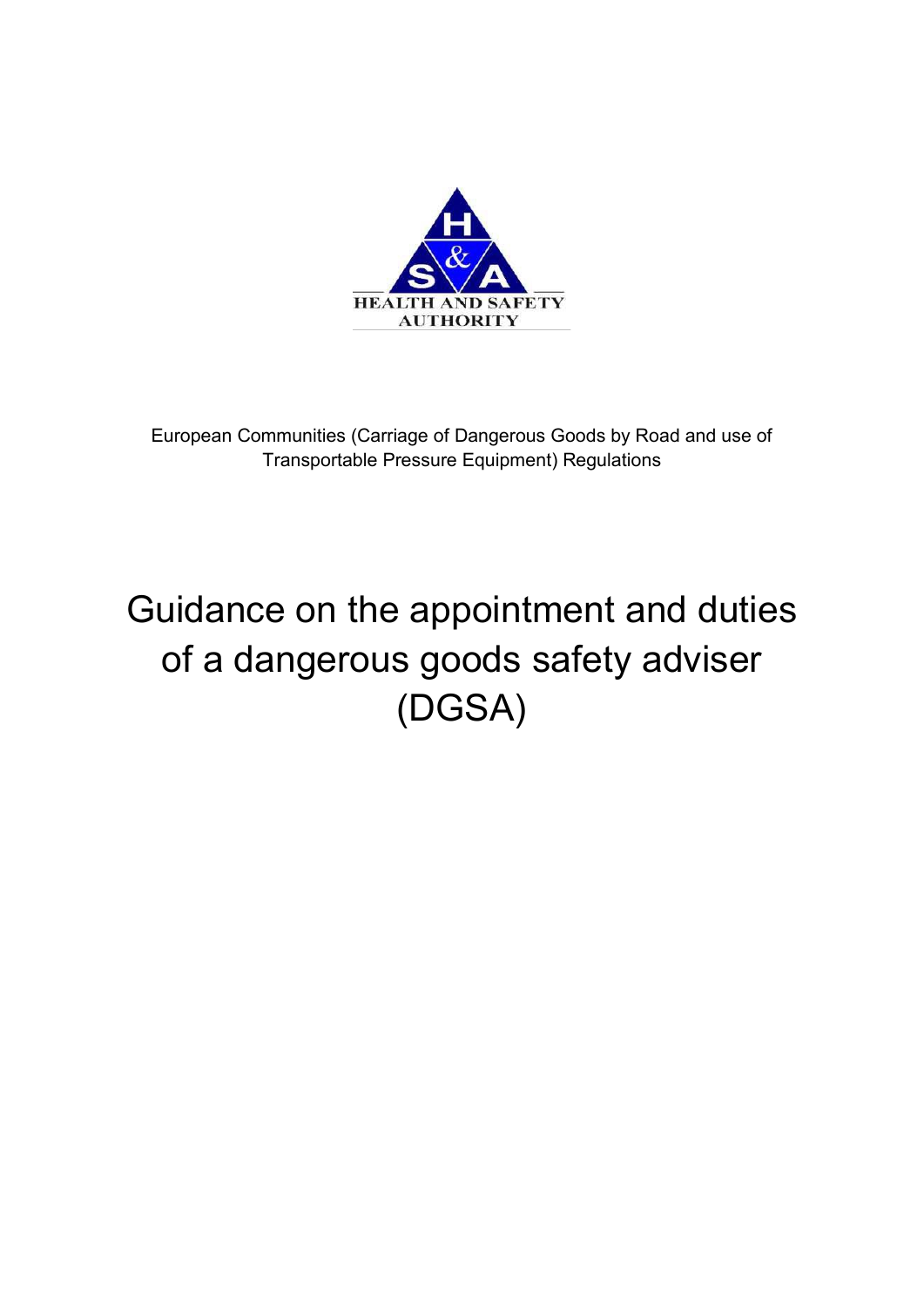

European Communities (Carriage of Dangerous Goods by Road and use of Transportable Pressure Equipment) Regulations

# Guidance on the appointment and duties of a dangerous goods safety adviser (DGSA)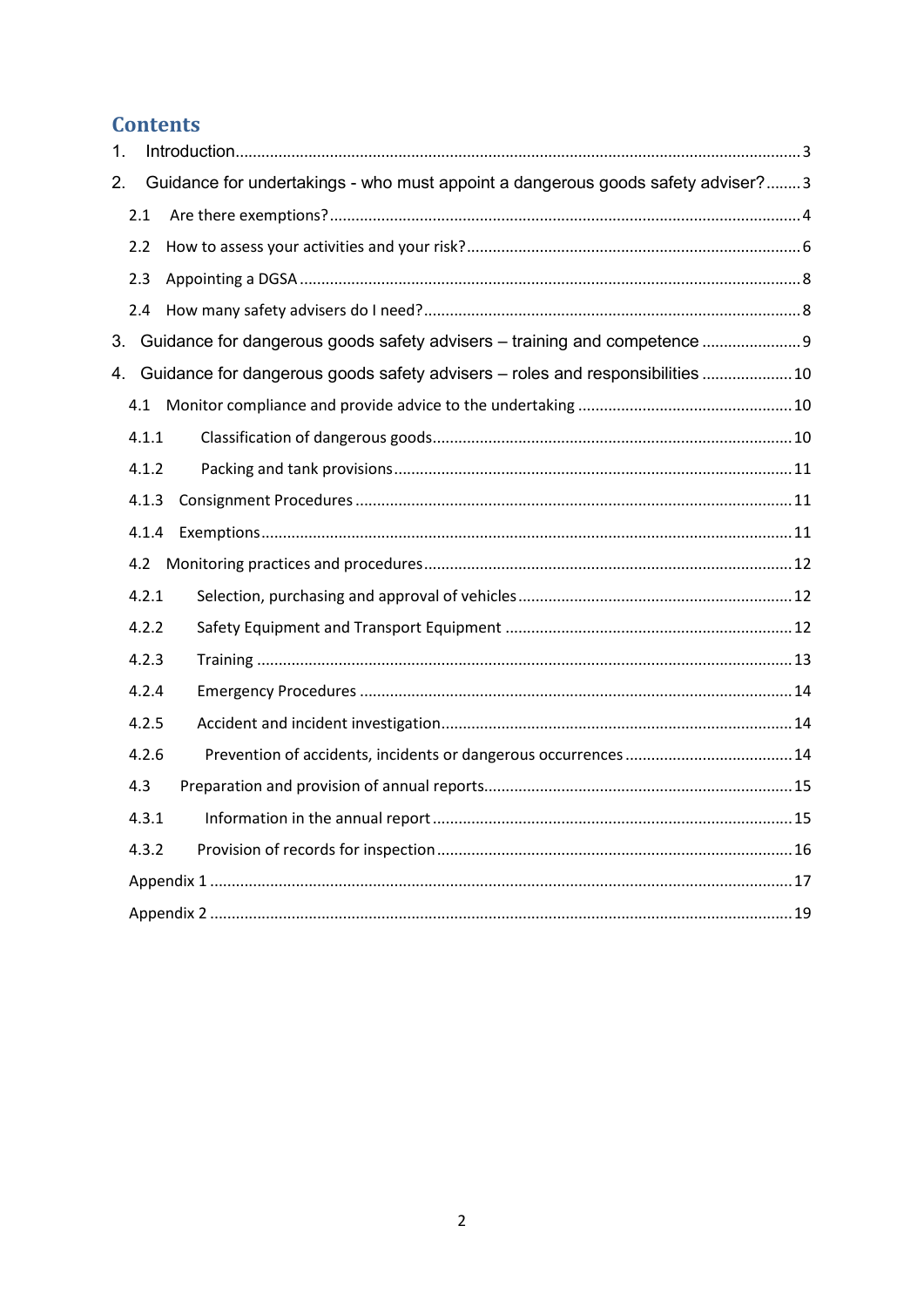# **Contents**

| 1. |       |                                                                                 |  |
|----|-------|---------------------------------------------------------------------------------|--|
| 2. |       | Guidance for undertakings - who must appoint a dangerous goods safety adviser?3 |  |
|    | 2.1   |                                                                                 |  |
|    | 2.2   |                                                                                 |  |
|    | 2.3   |                                                                                 |  |
|    | 2.4   |                                                                                 |  |
|    |       | 3. Guidance for dangerous goods safety advisers - training and competence 9     |  |
|    |       | 4. Guidance for dangerous goods safety advisers - roles and responsibilities 10 |  |
|    | 4.1   |                                                                                 |  |
|    | 4.1.1 |                                                                                 |  |
|    | 4.1.2 |                                                                                 |  |
|    | 4.1.3 |                                                                                 |  |
|    | 4.1.4 |                                                                                 |  |
|    | 4.2   |                                                                                 |  |
|    | 4.2.1 |                                                                                 |  |
|    | 4.2.2 |                                                                                 |  |
|    | 4.2.3 |                                                                                 |  |
|    | 4.2.4 |                                                                                 |  |
|    | 4.2.5 |                                                                                 |  |
|    | 4.2.6 |                                                                                 |  |
|    | 4.3   |                                                                                 |  |
|    | 4.3.1 |                                                                                 |  |
|    | 4.3.2 |                                                                                 |  |
|    |       |                                                                                 |  |
|    |       |                                                                                 |  |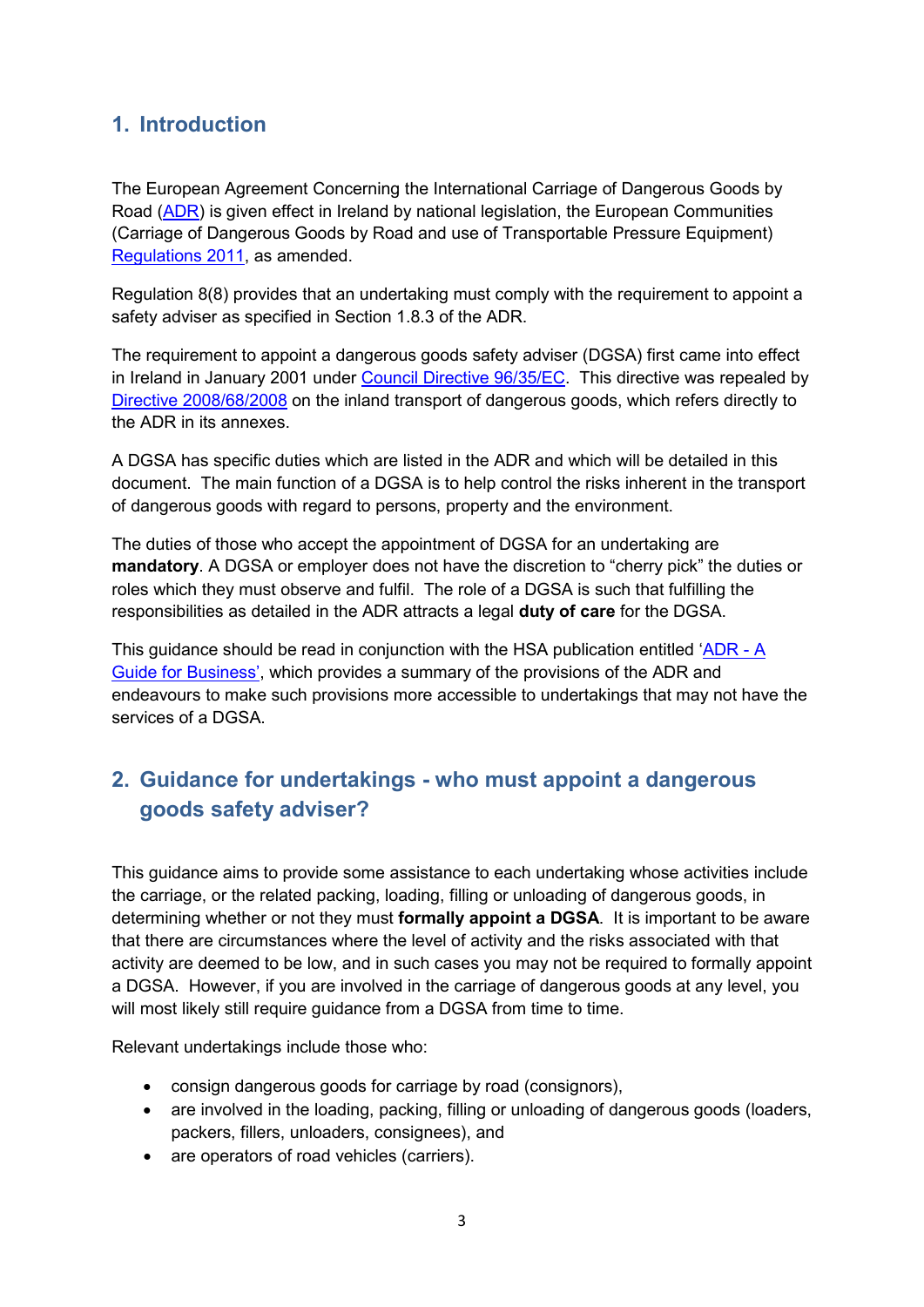# <span id="page-2-0"></span>**1. Introduction**

The European Agreement Concerning the International Carriage of Dangerous Goods by Road [\(ADR\)](https://www.unece.org/trans/danger/publi/adr/adr_e.html) is given effect in Ireland by national legislation, the European Communities (Carriage of Dangerous Goods by Road and use of Transportable Pressure Equipment) [Regulations 2011,](http://www.hsa.ie/eng/Your_Industry/ADR_-_Carriage_of_Dangerous_Goods_by_Road/ADR_General_Information/Legislation/) as amended.

Regulation 8(8) provides that an undertaking must comply with the requirement to appoint a safety adviser as specified in Section 1.8.3 of the ADR.

The requirement to appoint a dangerous goods safety adviser (DGSA) first came into effect in Ireland in January 2001 under [Council Directive 96/35/EC.](https://eur-lex.europa.eu/legal-content/EN/TXT/PDF/?uri=CELEX:31996L0035&from=EN) This directive was repealed by [Directive 2008/68/2008](http://eur-lex.europa.eu/legal-content/EN/TXT/PDF/?uri=CELEX:02008L0068-20130515&from=EN) on the inland transport of dangerous goods, which refers directly to the ADR in its annexes.

A DGSA has specific duties which are listed in the ADR and which will be detailed in this document. The main function of a DGSA is to help control the risks inherent in the transport of dangerous goods with regard to persons, property and the environment.

The duties of those who accept the appointment of DGSA for an undertaking are **mandatory**. A DGSA or employer does not have the discretion to "cherry pick" the duties or roles which they must observe and fulfil. The role of a DGSA is such that fulfilling the responsibilities as detailed in the ADR attracts a legal **duty of care** for the DGSA.

This guidance should be read in conjunction with the HSA publication entitled  $'ADR - A$  $'ADR - A$ [Guide for Business'](http://www.hsa.ie/eng/Your_Industry/ADR_-_Carriage_of_Dangerous_Goods_by_Road/Information_Guidance/ADR%20Guide%20for%20Business/), which provides a summary of the provisions of the ADR and endeavours to make such provisions more accessible to undertakings that may not have the services of a DGSA.

# <span id="page-2-1"></span>**2. Guidance for undertakings - who must appoint a dangerous goods safety adviser?**

This guidance aims to provide some assistance to each undertaking whose activities include the carriage, or the related packing, loading, filling or unloading of dangerous goods, in determining whether or not they must **formally appoint a DGSA**. It is important to be aware that there are circumstances where the level of activity and the risks associated with that activity are deemed to be low, and in such cases you may not be required to formally appoint a DGSA. However, if you are involved in the carriage of dangerous goods at any level, you will most likely still require guidance from a DGSA from time to time.

Relevant undertakings include those who:

- consign dangerous goods for carriage by road (consignors),
- are involved in the loading, packing, filling or unloading of dangerous goods (loaders, packers, fillers, unloaders, consignees), and
- are operators of road vehicles (carriers).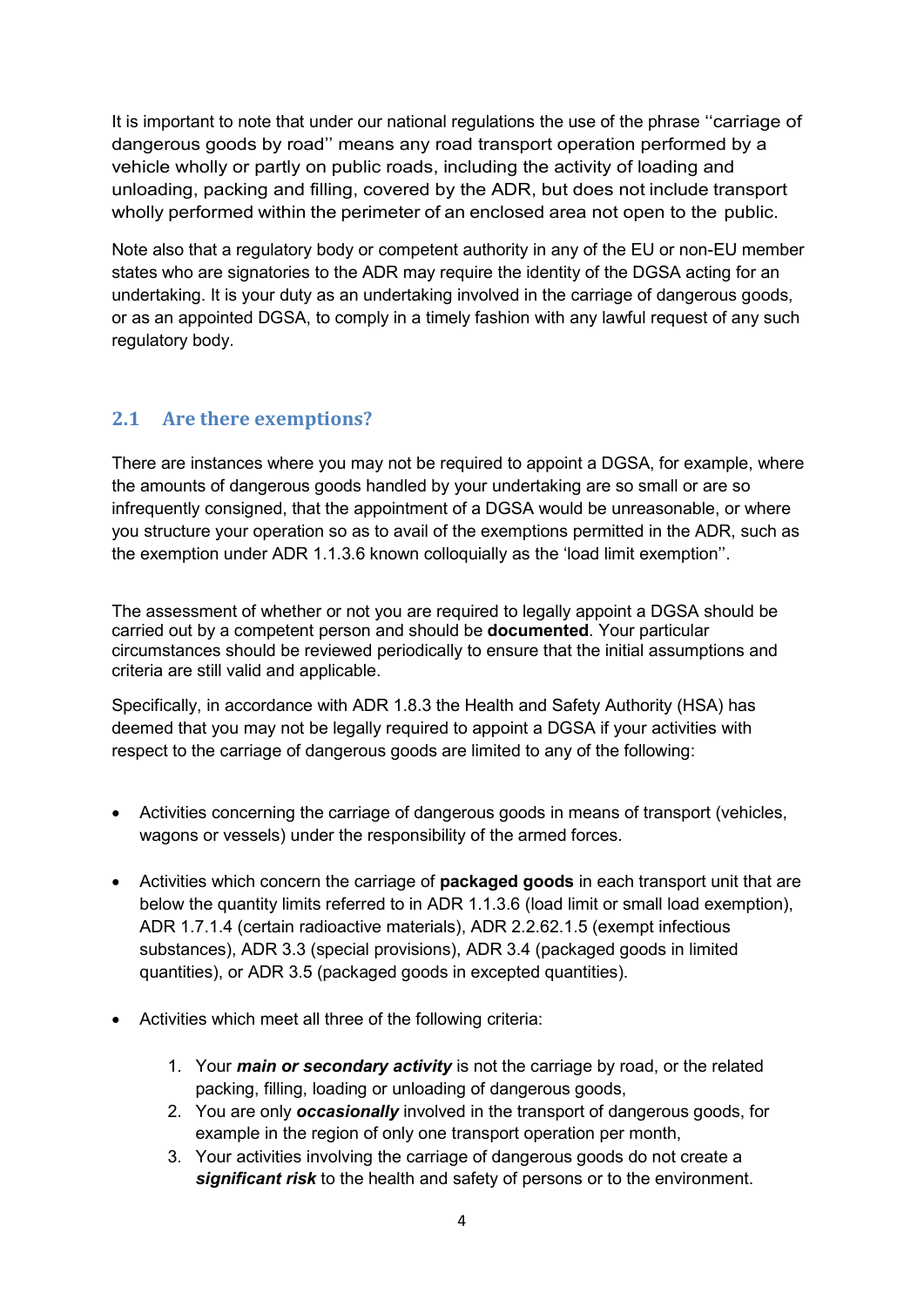It is important to note that under our national regulations the use of the phrase ''carriage of dangerous goods by road'' means any road transport operation performed by a vehicle wholly or partly on public roads, including the activity of loading and unloading, packing and filling, covered by the ADR, but does not include transport wholly performed within the perimeter of an enclosed area not open to the public.

Note also that a regulatory body or competent authority in any of the EU or non-EU member states who are signatories to the ADR may require the identity of the DGSA acting for an undertaking. It is your duty as an undertaking involved in the carriage of dangerous goods, or as an appointed DGSA, to comply in a timely fashion with any lawful request of any such regulatory body.

## <span id="page-3-0"></span>**2.1 Are there exemptions?**

There are instances where you may not be required to appoint a DGSA, for example, where the amounts of dangerous goods handled by your undertaking are so small or are so infrequently consigned, that the appointment of a DGSA would be unreasonable, or where you structure your operation so as to avail of the exemptions permitted in the ADR, such as the exemption under ADR 1.1.3.6 known colloquially as the 'load limit exemption''.

The assessment of whether or not you are required to legally appoint a DGSA should be carried out by a competent person and should be **documented**. Your particular circumstances should be reviewed periodically to ensure that the initial assumptions and criteria are still valid and applicable.

Specifically, in accordance with ADR 1.8.3 the Health and Safety Authority (HSA) has deemed that you may not be legally required to appoint a DGSA if your activities with respect to the carriage of dangerous goods are limited to any of the following:

- Activities concerning the carriage of dangerous goods in means of transport (vehicles, wagons or vessels) under the responsibility of the armed forces.
- Activities which concern the carriage of **packaged goods** in each transport unit that are below the quantity limits referred to in ADR 1.1.3.6 (load limit or small load exemption), ADR 1.7.1.4 (certain radioactive materials), ADR 2.2.62.1.5 (exempt infectious substances), ADR 3.3 (special provisions), ADR 3.4 (packaged goods in limited quantities), or ADR 3.5 (packaged goods in excepted quantities).
- Activities which meet all three of the following criteria:
	- 1. Your *main or secondary activity* is not the carriage by road, or the related packing, filling, loading or unloading of dangerous goods,
	- 2. You are only *occasionally* involved in the transport of dangerous goods, for example in the region of only one transport operation per month,
	- 3. Your activities involving the carriage of dangerous goods do not create a *significant risk* to the health and safety of persons or to the environment.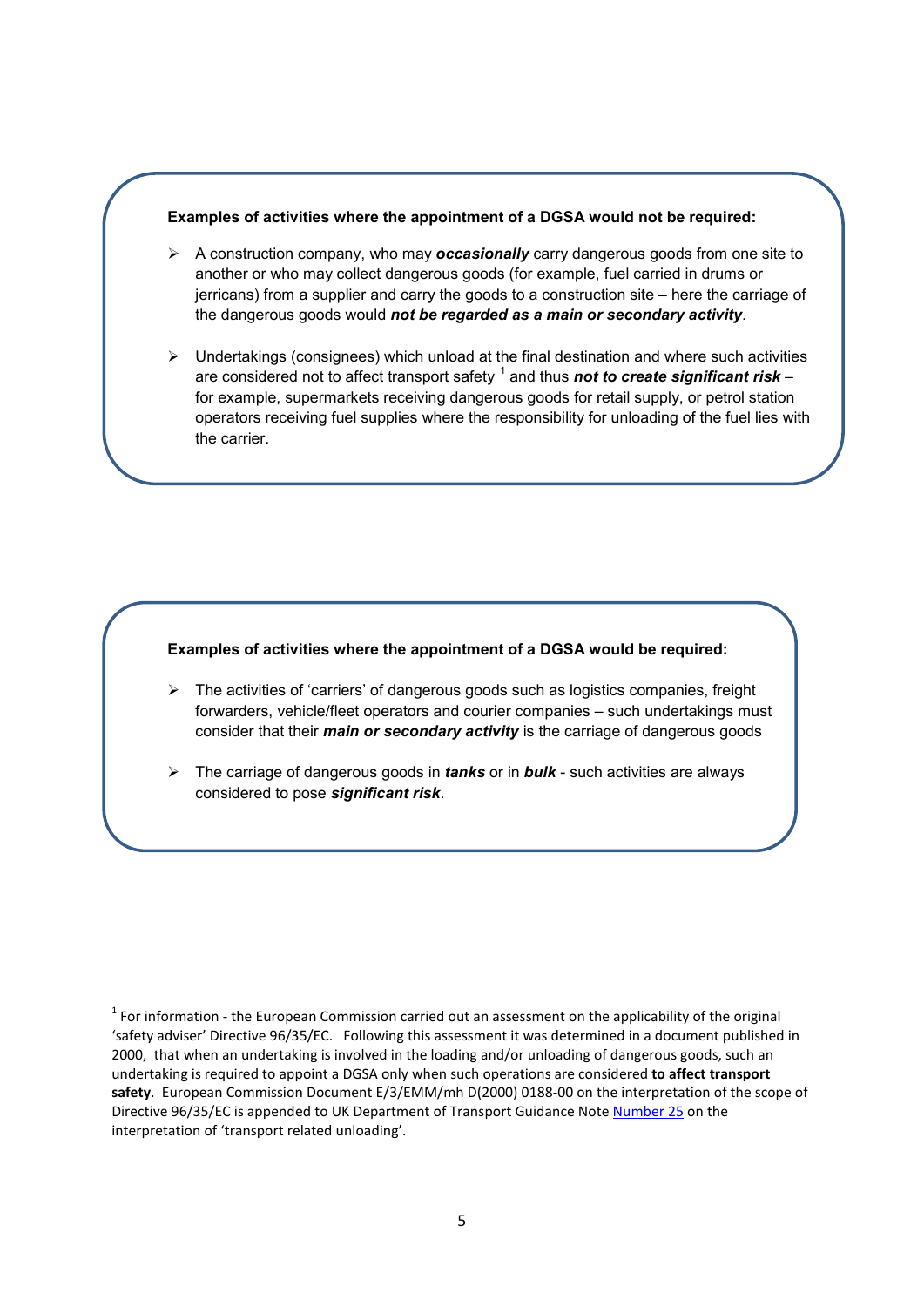#### **Examples of activities where the appointment of a DGSA would not be required:**

- A construction company, who may *occasionally* carry dangerous goods from one site to another or who may collect dangerous goods (for example, fuel carried in drums or jerricans) from a supplier and carry the goods to a construction site – here the carriage of the dangerous goods would *not be regarded as a main or secondary activity*.
- $\triangleright$  Undertakings (consignees) which unload at the final destination and where such activities are considered not to affect transport safety <sup>[1](#page-4-0)</sup> and thus **not to create significant risk** – for example, supermarkets receiving dangerous goods for retail supply, or petrol station operators receiving fuel supplies where the responsibility for unloading of the fuel lies with the carrier.

#### **Examples of activities where the appointment of a DGSA would be required:**

- The activities of 'carriers' of dangerous goods such as logistics companies, freight forwarders, vehicle/fleet operators and courier companies – such undertakings must consider that their *main or secondary activity* is the carriage of dangerous goods
- The carriage of dangerous goods in *tanks* or in *bulk* such activities are always considered to pose *significant risk*.

<span id="page-4-0"></span> $1$  For information - the European Commission carried out an assessment on the applicability of the original 'safety adviser' Directive 96/35/EC. Following this assessment it was determined in a document published in 2000, that when an undertaking is involved in the loading and/or unloading of dangerous goods, such an undertaking is required to appoint a DGSA only when such operations are considered **to affect transport safety**. European Commission Document E/3/EMM/mh D(2000) 0188-00 on the interpretation of the scope of Directive 96/35/EC is appended to UK Department of Transport Guidance Note [Number 25](https://www.gov.uk/government/publications/carriage-of-dangerous-goods-guidance-note-25) on the interpretation of 'transport related unloading'.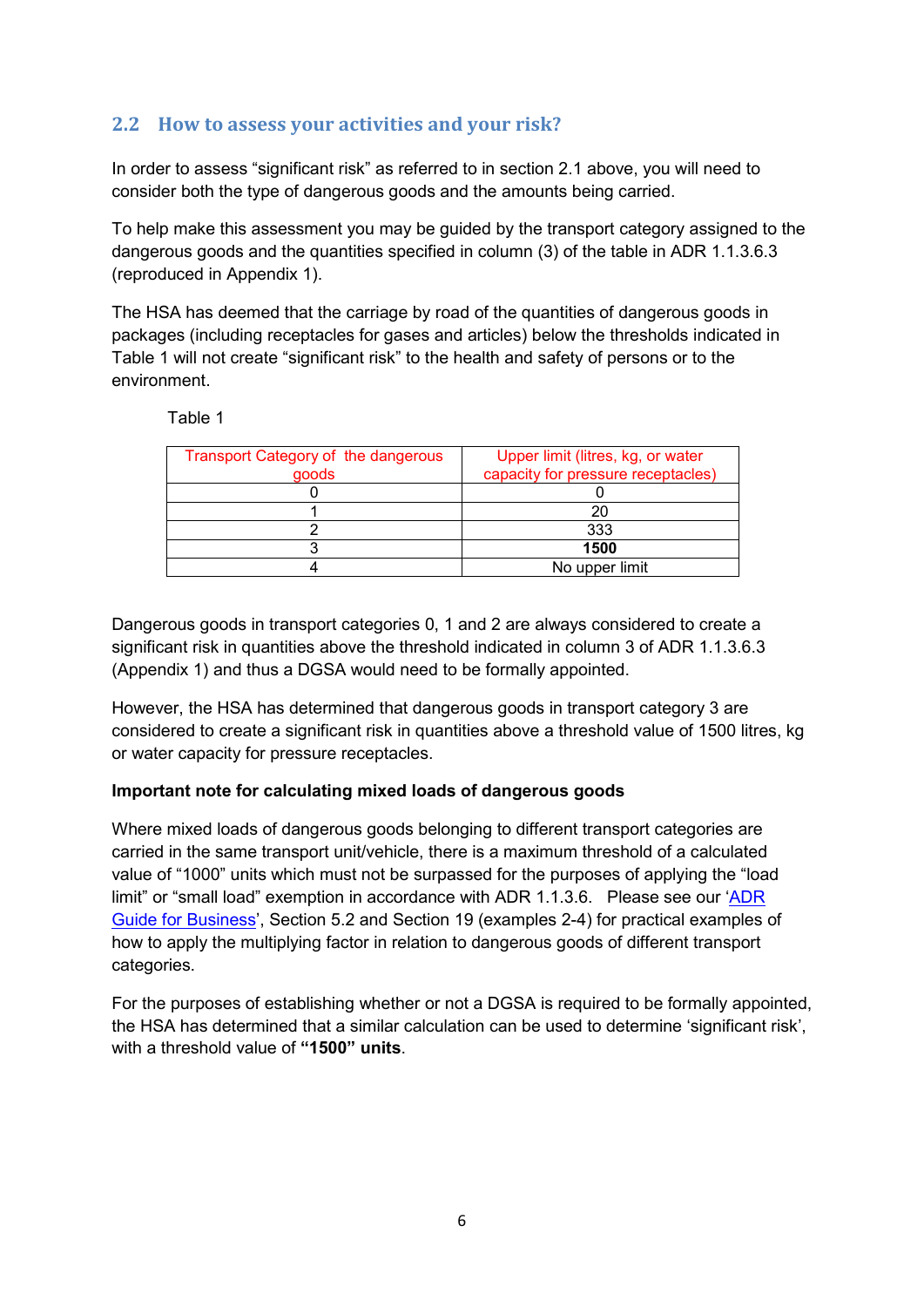## <span id="page-5-0"></span>**2.2 How to assess your activities and your risk?**

In order to assess "significant risk" as referred to in section 2.1 above, you will need to consider both the type of dangerous goods and the amounts being carried.

To help make this assessment you may be guided by the transport category assigned to the dangerous goods and the quantities specified in column (3) of the table in ADR 1.1.3.6.3 (reproduced in Appendix 1).

The HSA has deemed that the carriage by road of the quantities of dangerous goods in packages (including receptacles for gases and articles) below the thresholds indicated in Table 1 will not create "significant risk" to the health and safety of persons or to the environment.

| anle |  |
|------|--|
|------|--|

| Transport Category of the dangerous | Upper limit (litres, kg, or water  |
|-------------------------------------|------------------------------------|
| goods                               | capacity for pressure receptacles) |
|                                     |                                    |
|                                     | 20                                 |
|                                     | 333                                |
|                                     | 1500                               |
|                                     | No upper limit                     |
|                                     |                                    |

Dangerous goods in transport categories 0, 1 and 2 are always considered to create a significant risk in quantities above the threshold indicated in column 3 of ADR 1.1.3.6.3 (Appendix 1) and thus a DGSA would need to be formally appointed.

However, the HSA has determined that dangerous goods in transport category 3 are considered to create a significant risk in quantities above a threshold value of 1500 litres, kg or water capacity for pressure receptacles.

#### **Important note for calculating mixed loads of dangerous goods**

Where mixed loads of dangerous goods belonging to different transport categories are carried in the same transport unit/vehicle, there is a maximum threshold of a calculated value of "1000" units which must not be surpassed for the purposes of applying the "load limit" or "small load" exemption in accordance with ADR 1.1.3.6. Please see our ['ADR](http://www.hsa.ie/eng/Your_Industry/ADR_-_Carriage_of_Dangerous_Goods_by_Road/Information_Guidance/ADR%20Guide%20for%20Business/)  [Guide for Business'](http://www.hsa.ie/eng/Your_Industry/ADR_-_Carriage_of_Dangerous_Goods_by_Road/Information_Guidance/ADR%20Guide%20for%20Business/), Section 5.2 and Section 19 (examples 2-4) for practical examples of how to apply the multiplying factor in relation to dangerous goods of different transport categories.

For the purposes of establishing whether or not a DGSA is required to be formally appointed, the HSA has determined that a similar calculation can be used to determine 'significant risk', with a threshold value of **"1500" units**.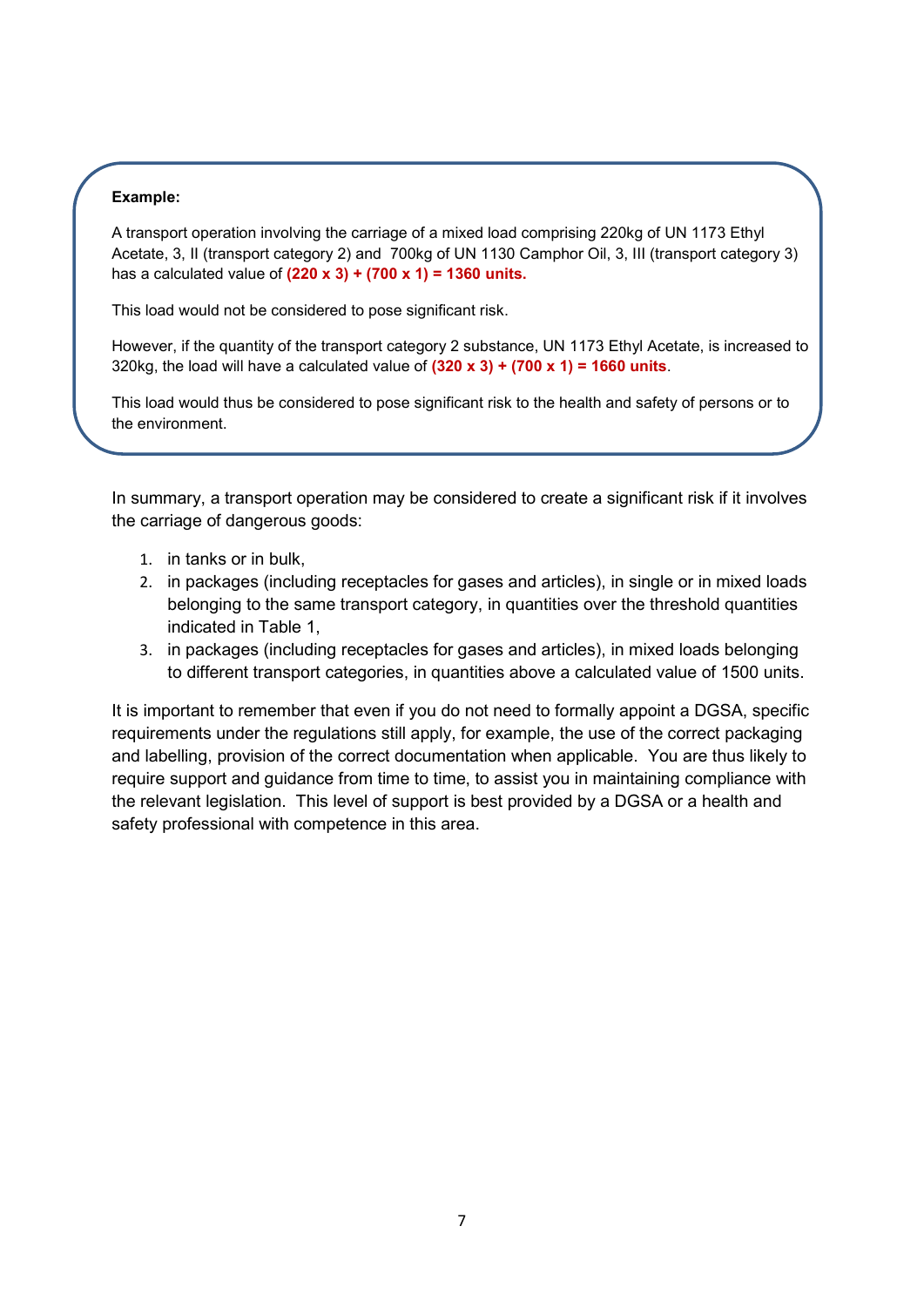#### **Example:**

A transport operation involving the carriage of a mixed load comprising 220kg of UN 1173 Ethyl Acetate, 3, II (transport category 2) and 700kg of UN 1130 Camphor Oil, 3, III (transport category 3) has a calculated value of **(220 x 3) + (700 x 1) = 1360 units.**

This load would not be considered to pose significant risk.

However, if the quantity of the transport category 2 substance, UN 1173 Ethyl Acetate, is increased to 320kg, the load will have a calculated value of **(320 x 3) + (700 x 1) = 1660 units**.

This load would thus be considered to pose significant risk to the health and safety of persons or to the environment.

In summary, a transport operation may be considered to create a significant risk if it involves the carriage of dangerous goods:

- 1. in tanks or in bulk,
- 2. in packages (including receptacles for gases and articles), in single or in mixed loads belonging to the same transport category, in quantities over the threshold quantities indicated in Table 1,
- 3. in packages (including receptacles for gases and articles), in mixed loads belonging to different transport categories, in quantities above a calculated value of 1500 units.

It is important to remember that even if you do not need to formally appoint a DGSA, specific requirements under the regulations still apply, for example, the use of the correct packaging and labelling, provision of the correct documentation when applicable. You are thus likely to require support and guidance from time to time, to assist you in maintaining compliance with the relevant legislation. This level of support is best provided by a DGSA or a health and safety professional with competence in this area.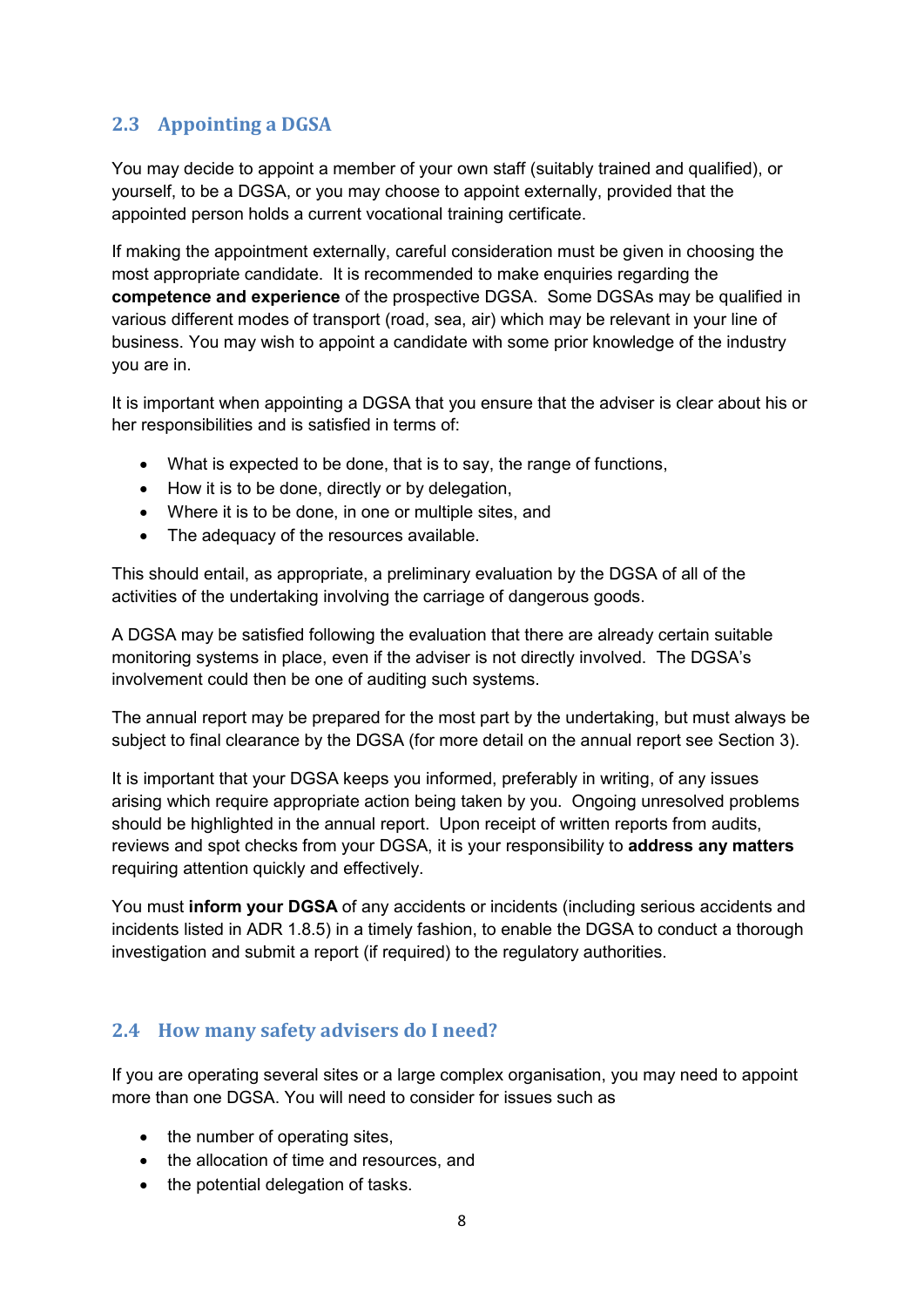## <span id="page-7-0"></span>**2.3 Appointing a DGSA**

You may decide to appoint a member of your own staff (suitably trained and qualified), or yourself, to be a DGSA, or you may choose to appoint externally, provided that the appointed person holds a current vocational training certificate.

If making the appointment externally, careful consideration must be given in choosing the most appropriate candidate. It is recommended to make enquiries regarding the **competence and experience** of the prospective DGSA. Some DGSAs may be qualified in various different modes of transport (road, sea, air) which may be relevant in your line of business. You may wish to appoint a candidate with some prior knowledge of the industry you are in.

It is important when appointing a DGSA that you ensure that the adviser is clear about his or her responsibilities and is satisfied in terms of:

- What is expected to be done, that is to say, the range of functions,
- How it is to be done, directly or by delegation,
- Where it is to be done, in one or multiple sites, and
- The adequacy of the resources available.

This should entail, as appropriate, a preliminary evaluation by the DGSA of all of the activities of the undertaking involving the carriage of dangerous goods.

A DGSA may be satisfied following the evaluation that there are already certain suitable monitoring systems in place, even if the adviser is not directly involved. The DGSA's involvement could then be one of auditing such systems.

The annual report may be prepared for the most part by the undertaking, but must always be subject to final clearance by the DGSA (for more detail on the annual report see Section 3).

It is important that your DGSA keeps you informed, preferably in writing, of any issues arising which require appropriate action being taken by you. Ongoing unresolved problems should be highlighted in the annual report. Upon receipt of written reports from audits, reviews and spot checks from your DGSA, it is your responsibility to **address any matters** requiring attention quickly and effectively.

You must **inform your DGSA** of any accidents or incidents (including serious accidents and incidents listed in ADR 1.8.5) in a timely fashion, to enable the DGSA to conduct a thorough investigation and submit a report (if required) to the regulatory authorities.

## <span id="page-7-1"></span>**2.4 How many safety advisers do I need?**

If you are operating several sites or a large complex organisation, you may need to appoint more than one DGSA. You will need to consider for issues such as

- the number of operating sites,
- the allocation of time and resources, and
- the potential delegation of tasks.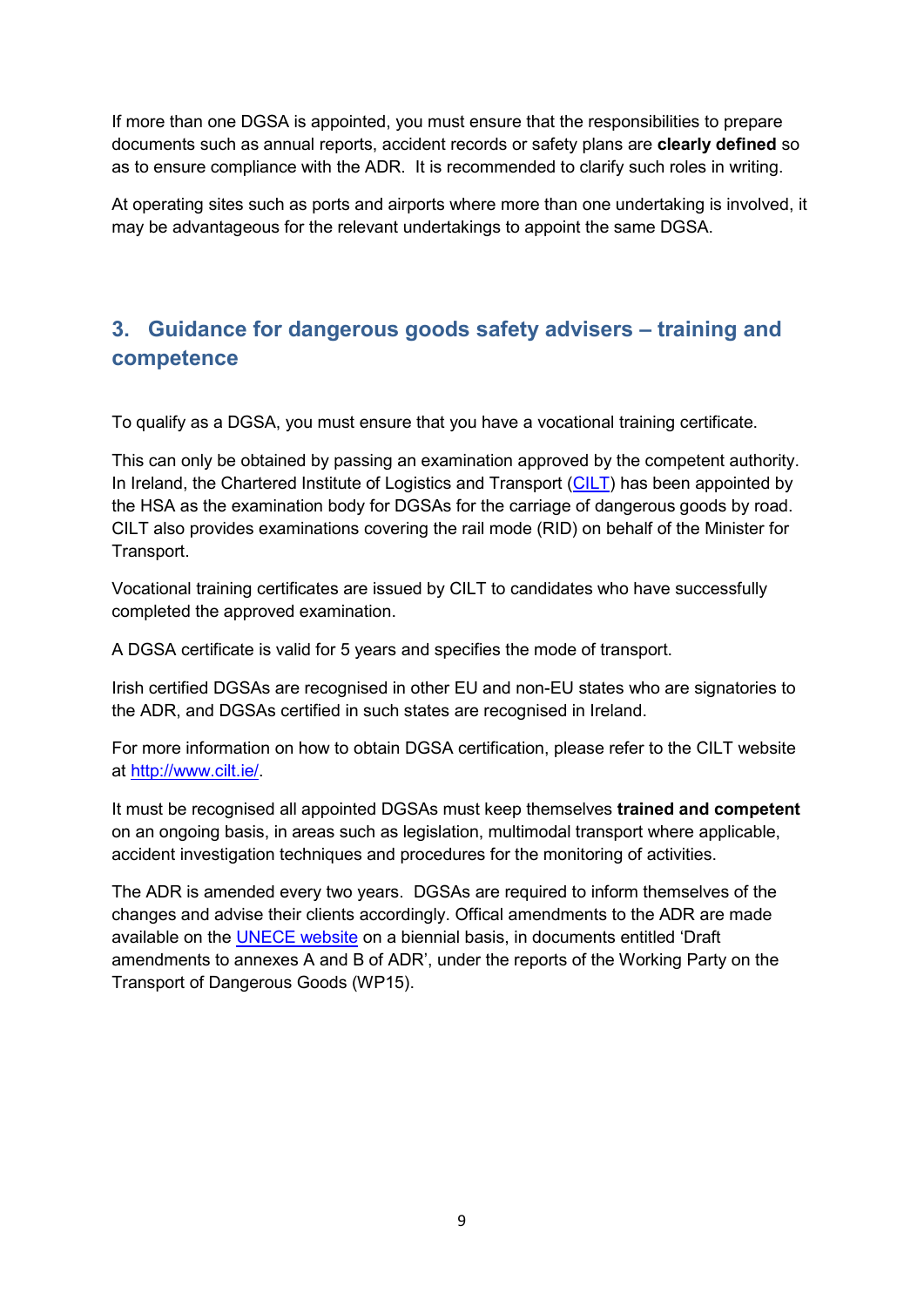If more than one DGSA is appointed, you must ensure that the responsibilities to prepare documents such as annual reports, accident records or safety plans are **clearly defined** so as to ensure compliance with the ADR. It is recommended to clarify such roles in writing.

At operating sites such as ports and airports where more than one undertaking is involved, it may be advantageous for the relevant undertakings to appoint the same DGSA.

# <span id="page-8-0"></span>**3. Guidance for dangerous goods safety advisers – training and competence**

To qualify as a DGSA, you must ensure that you have a vocational training certificate.

This can only be obtained by passing an examination approved by the competent authority. In Ireland, the Chartered Institute of Logistics and Transport [\(CILT\)](https://www.cilt.ie/) has been appointed by the HSA as the examination body for DGSAs for the carriage of dangerous goods by road. CILT also provides examinations covering the rail mode (RID) on behalf of the Minister for Transport.

Vocational training certificates are issued by CILT to candidates who have successfully completed the approved examination.

A DGSA certificate is valid for 5 years and specifies the mode of transport.

Irish certified DGSAs are recognised in other EU and non-EU states who are signatories to the ADR, and DGSAs certified in such states are recognised in Ireland.

For more information on how to obtain DGSA certification, please refer to the CILT website at [http://www.cilt.ie/.](http://www.cilt.ie/)

It must be recognised all appointed DGSAs must keep themselves **trained and competent** on an ongoing basis, in areas such as legislation, multimodal transport where applicable, accident investigation techniques and procedures for the monitoring of activities.

The ADR is amended every two years. DGSAs are required to inform themselves of the changes and advise their clients accordingly. Offical amendments to the ADR are made available on the **UNECE website** on a biennial basis, in documents entitled 'Draft amendments to annexes A and B of ADR', under the reports of the Working Party on the Transport of Dangerous Goods (WP15).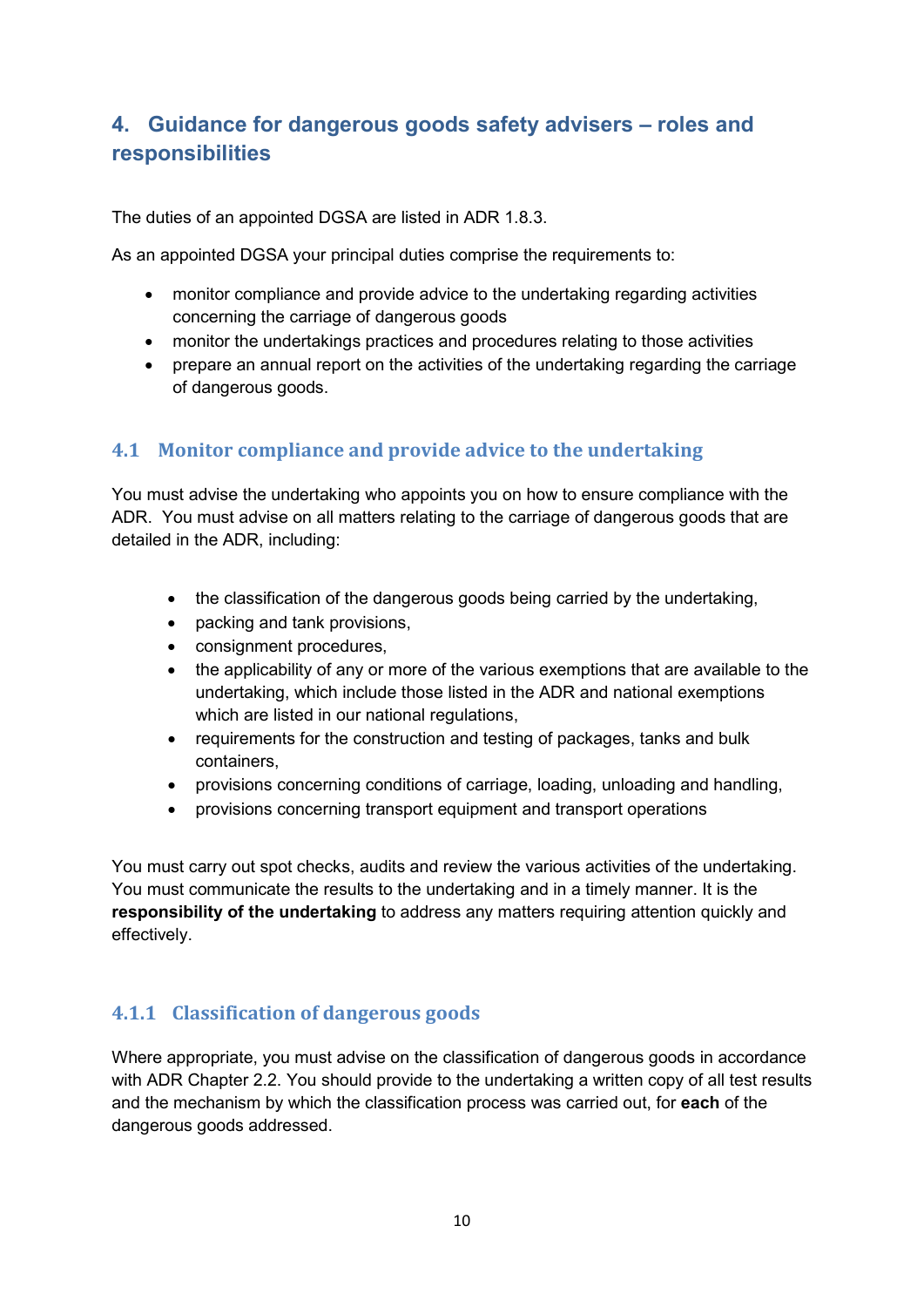# <span id="page-9-0"></span>**4. Guidance for dangerous goods safety advisers – roles and responsibilities**

The duties of an appointed DGSA are listed in ADR 1.8.3.

As an appointed DGSA your principal duties comprise the requirements to:

- monitor compliance and provide advice to the undertaking regarding activities concerning the carriage of dangerous goods
- monitor the undertakings practices and procedures relating to those activities
- prepare an annual report on the activities of the undertaking regarding the carriage of dangerous goods.

## <span id="page-9-1"></span>**4.1 Monitor compliance and provide advice to the undertaking**

You must advise the undertaking who appoints you on how to ensure compliance with the ADR. You must advise on all matters relating to the carriage of dangerous goods that are detailed in the ADR, including:

- the classification of the dangerous goods being carried by the undertaking,
- packing and tank provisions,
- consignment procedures,
- the applicability of any or more of the various exemptions that are available to the undertaking, which include those listed in the ADR and national exemptions which are listed in our national regulations,
- requirements for the construction and testing of packages, tanks and bulk containers,
- provisions concerning conditions of carriage, loading, unloading and handling,
- provisions concerning transport equipment and transport operations

You must carry out spot checks, audits and review the various activities of the undertaking. You must communicate the results to the undertaking and in a timely manner. It is the **responsibility of the undertaking** to address any matters requiring attention quickly and effectively.

## <span id="page-9-2"></span>**4.1.1 Classification of dangerous goods**

Where appropriate, you must advise on the classification of dangerous goods in accordance with ADR Chapter 2.2. You should provide to the undertaking a written copy of all test results and the mechanism by which the classification process was carried out, for **each** of the dangerous goods addressed.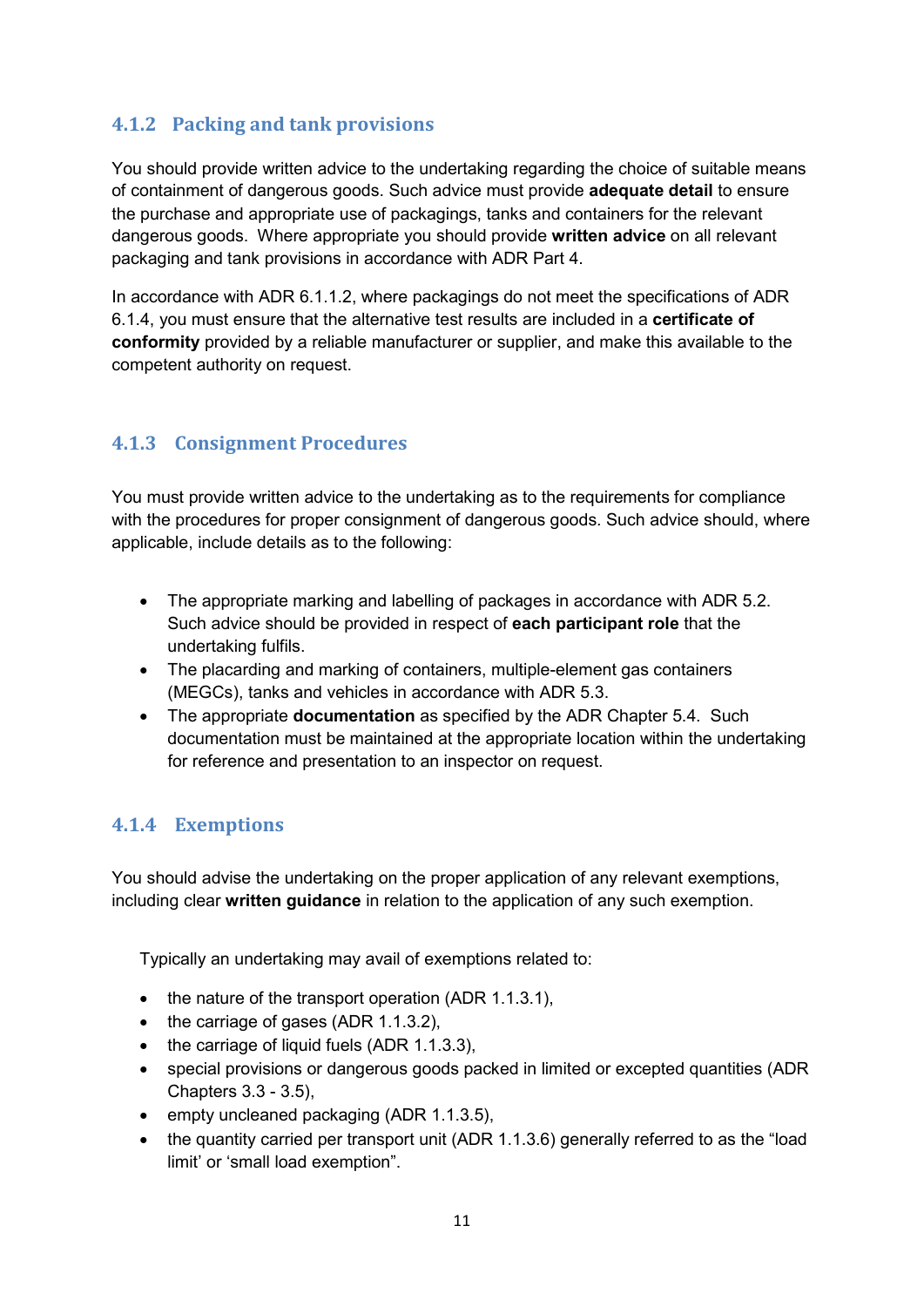## <span id="page-10-0"></span>**4.1.2 Packing and tank provisions**

You should provide written advice to the undertaking regarding the choice of suitable means of containment of dangerous goods. Such advice must provide **adequate detail** to ensure the purchase and appropriate use of packagings, tanks and containers for the relevant dangerous goods. Where appropriate you should provide **written advice** on all relevant packaging and tank provisions in accordance with ADR Part 4.

In accordance with ADR 6.1.1.2, where packagings do not meet the specifications of ADR 6.1.4, you must ensure that the alternative test results are included in a **certificate of conformity** provided by a reliable manufacturer or supplier, and make this available to the competent authority on request.

## <span id="page-10-1"></span>**4.1.3 Consignment Procedures**

You must provide written advice to the undertaking as to the requirements for compliance with the procedures for proper consignment of dangerous goods. Such advice should, where applicable, include details as to the following:

- The appropriate marking and labelling of packages in accordance with ADR 5.2. Such advice should be provided in respect of **each participant role** that the undertaking fulfils.
- The placarding and marking of containers, multiple-element gas containers (MEGCs), tanks and vehicles in accordance with ADR 5.3.
- The appropriate **documentation** as specified by the ADR Chapter 5.4. Such documentation must be maintained at the appropriate location within the undertaking for reference and presentation to an inspector on request.

## <span id="page-10-2"></span>**4.1.4 Exemptions**

You should advise the undertaking on the proper application of any relevant exemptions, including clear **written guidance** in relation to the application of any such exemption.

Typically an undertaking may avail of exemptions related to:

- the nature of the transport operation (ADR 1.1.3.1),
- the carriage of gases (ADR 1.1.3.2),
- the carriage of liquid fuels (ADR 1.1.3.3),
- special provisions or dangerous goods packed in limited or excepted quantities (ADR Chapters 3.3 - 3.5),
- empty uncleaned packaging (ADR 1.1.3.5).
- the quantity carried per transport unit (ADR 1.1.3.6) generally referred to as the "load limit' or 'small load exemption".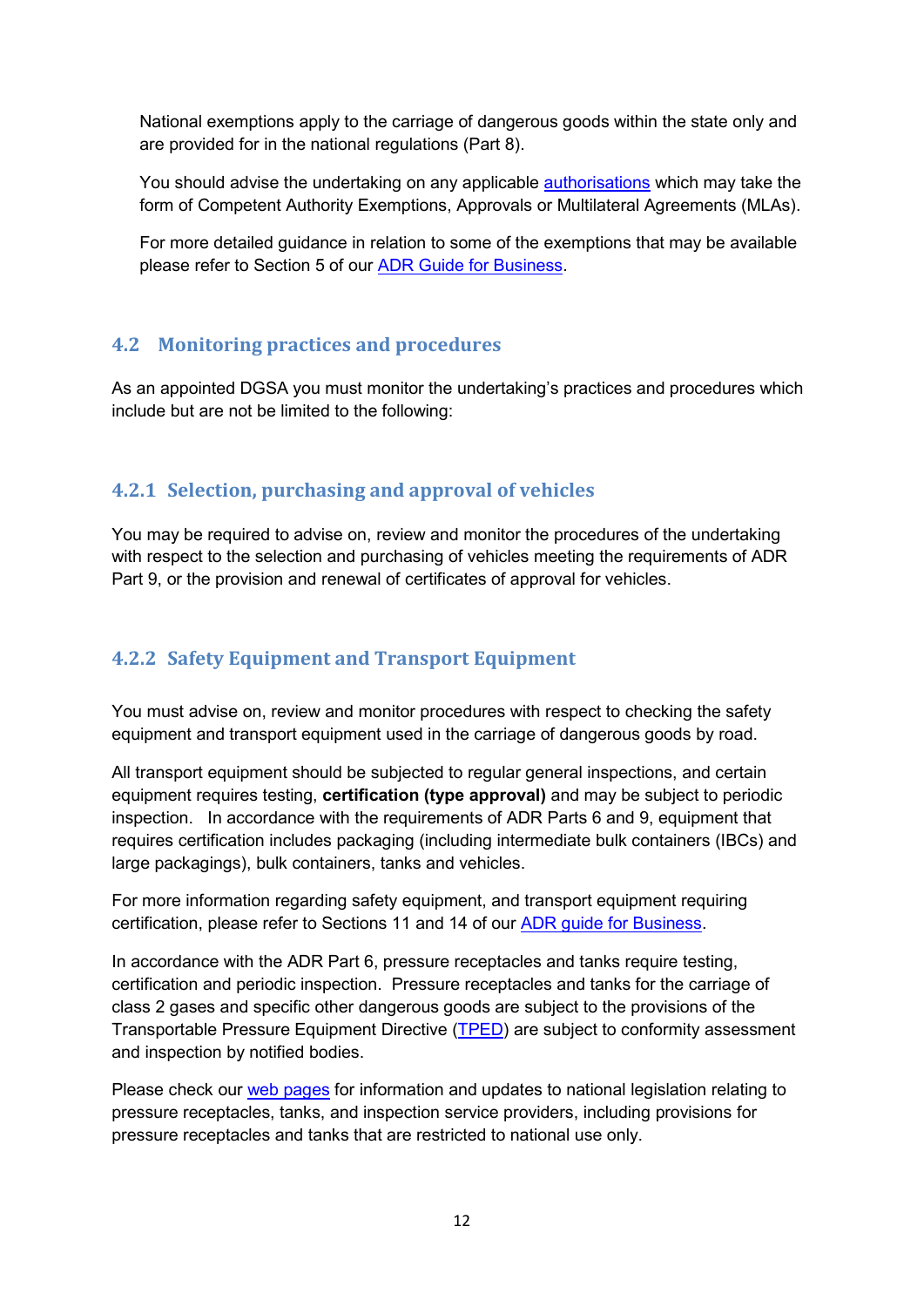National exemptions apply to the carriage of dangerous goods within the state only and are provided for in the national regulations (Part 8).

You should advise the undertaking on any applicable [authorisations](http://www.hsa.ie/eng/Your_Industry/ADR_-_Carriage_of_Dangerous_Goods_by_Road/) which may take the form of Competent Authority Exemptions, Approvals or Multilateral Agreements (MLAs).

For more detailed guidance in relation to some of the exemptions that may be available please refer to Section 5 of our [ADR Guide for Business.](http://www.hsa.ie/eng/Your_Industry/ADR_-_Carriage_of_Dangerous_Goods_by_Road/Information_Guidance/ADR%20Guide%20for%20Business/)

## <span id="page-11-0"></span>**4.2 Monitoring practices and procedures**

As an appointed DGSA you must monitor the undertaking's practices and procedures which include but are not be limited to the following:

#### <span id="page-11-1"></span>**4.2.1 Selection, purchasing and approval of vehicles**

You may be required to advise on, review and monitor the procedures of the undertaking with respect to the selection and purchasing of vehicles meeting the requirements of ADR Part 9, or the provision and renewal of certificates of approval for vehicles.

## <span id="page-11-2"></span>**4.2.2 Safety Equipment and Transport Equipment**

You must advise on, review and monitor procedures with respect to checking the safety equipment and transport equipment used in the carriage of dangerous goods by road.

All transport equipment should be subjected to regular general inspections, and certain equipment requires testing, **certification (type approval)** and may be subject to periodic inspection. In accordance with the requirements of ADR Parts 6 and 9, equipment that requires certification includes packaging (including intermediate bulk containers (IBCs) and large packagings), bulk containers, tanks and vehicles.

For more information regarding safety equipment, and transport equipment requiring certification, please refer to Sections 11 and 14 of our [ADR guide for Business.](http://www.hsa.ie/eng/Your_Industry/ADR_-_Carriage_of_Dangerous_Goods_by_Road/Information_Guidance/ADR%20Guide%20for%20Business/)

In accordance with the ADR Part 6, pressure receptacles and tanks require testing, certification and periodic inspection. Pressure receptacles and tanks for the carriage of class 2 gases and specific other dangerous goods are subject to the provisions of the Transportable Pressure Equipment Directive [\(TPED\)](http://www.hsa.ie/eng/Your_Industry/ADR_-_Carriage_of_Dangerous_Goods_by_Road/ADR_General_Information/Transportable_Pressure_Equipment_Directive/) are subject to conformity assessment and inspection by notified bodies.

Please check our [web pages](http://www.hsa.ie/eng/Your_Industry/ADR_-_Carriage_of_Dangerous_Goods_by_Road/) for information and updates to national legislation relating to pressure receptacles, tanks, and inspection service providers, including provisions for pressure receptacles and tanks that are restricted to national use only.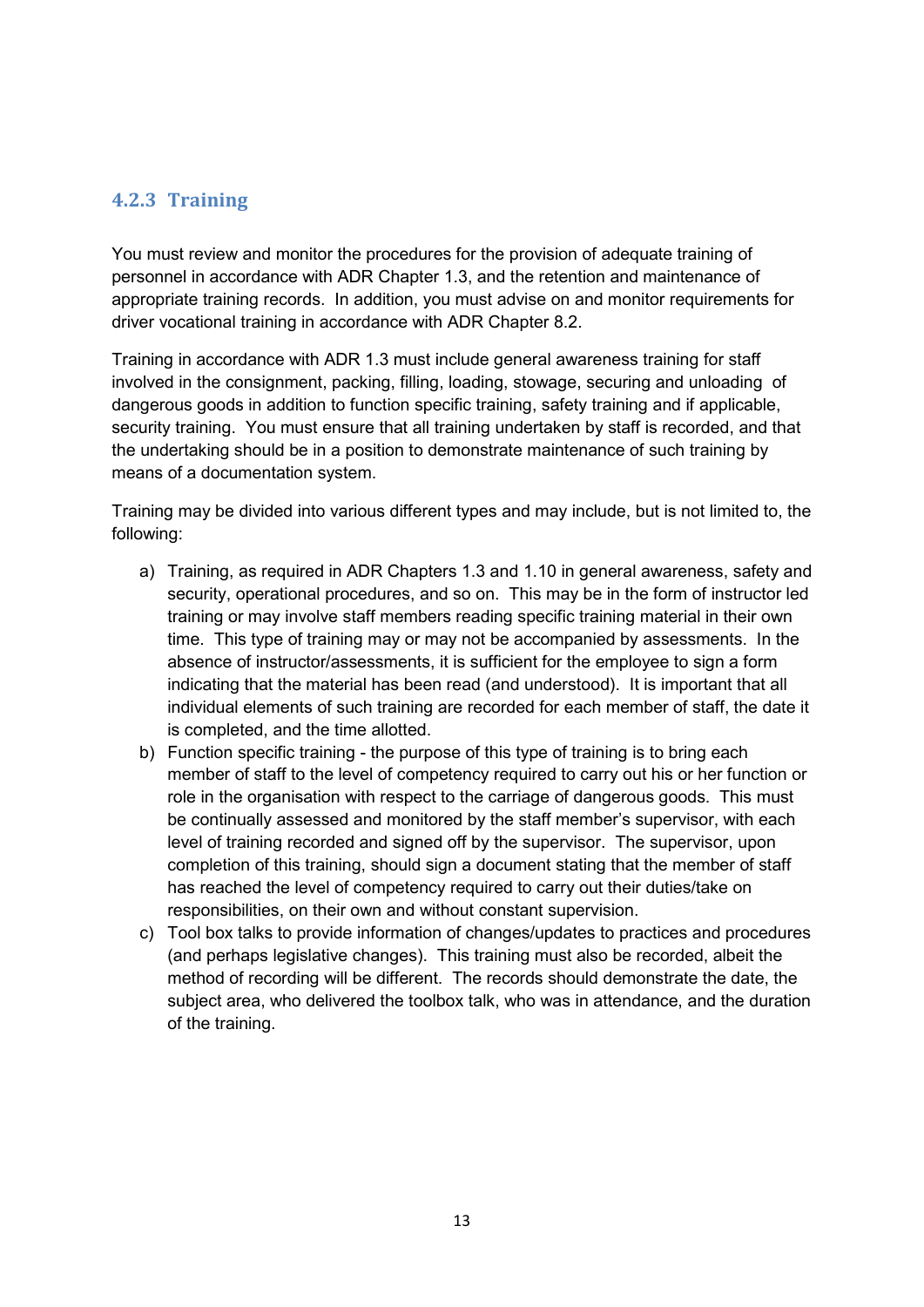## <span id="page-12-0"></span>**4.2.3 Training**

You must review and monitor the procedures for the provision of adequate training of personnel in accordance with ADR Chapter 1.3, and the retention and maintenance of appropriate training records. In addition, you must advise on and monitor requirements for driver vocational training in accordance with ADR Chapter 8.2.

Training in accordance with ADR 1.3 must include general awareness training for staff involved in the consignment, packing, filling, loading, stowage, securing and unloading of dangerous goods in addition to function specific training, safety training and if applicable, security training. You must ensure that all training undertaken by staff is recorded, and that the undertaking should be in a position to demonstrate maintenance of such training by means of a documentation system.

Training may be divided into various different types and may include, but is not limited to, the following:

- a) Training, as required in ADR Chapters 1.3 and 1.10 in general awareness, safety and security, operational procedures, and so on. This may be in the form of instructor led training or may involve staff members reading specific training material in their own time. This type of training may or may not be accompanied by assessments. In the absence of instructor/assessments, it is sufficient for the employee to sign a form indicating that the material has been read (and understood). It is important that all individual elements of such training are recorded for each member of staff, the date it is completed, and the time allotted.
- b) Function specific training the purpose of this type of training is to bring each member of staff to the level of competency required to carry out his or her function or role in the organisation with respect to the carriage of dangerous goods. This must be continually assessed and monitored by the staff member's supervisor, with each level of training recorded and signed off by the supervisor. The supervisor, upon completion of this training, should sign a document stating that the member of staff has reached the level of competency required to carry out their duties/take on responsibilities, on their own and without constant supervision.
- c) Tool box talks to provide information of changes/updates to practices and procedures (and perhaps legislative changes). This training must also be recorded, albeit the method of recording will be different. The records should demonstrate the date, the subject area, who delivered the toolbox talk, who was in attendance, and the duration of the training.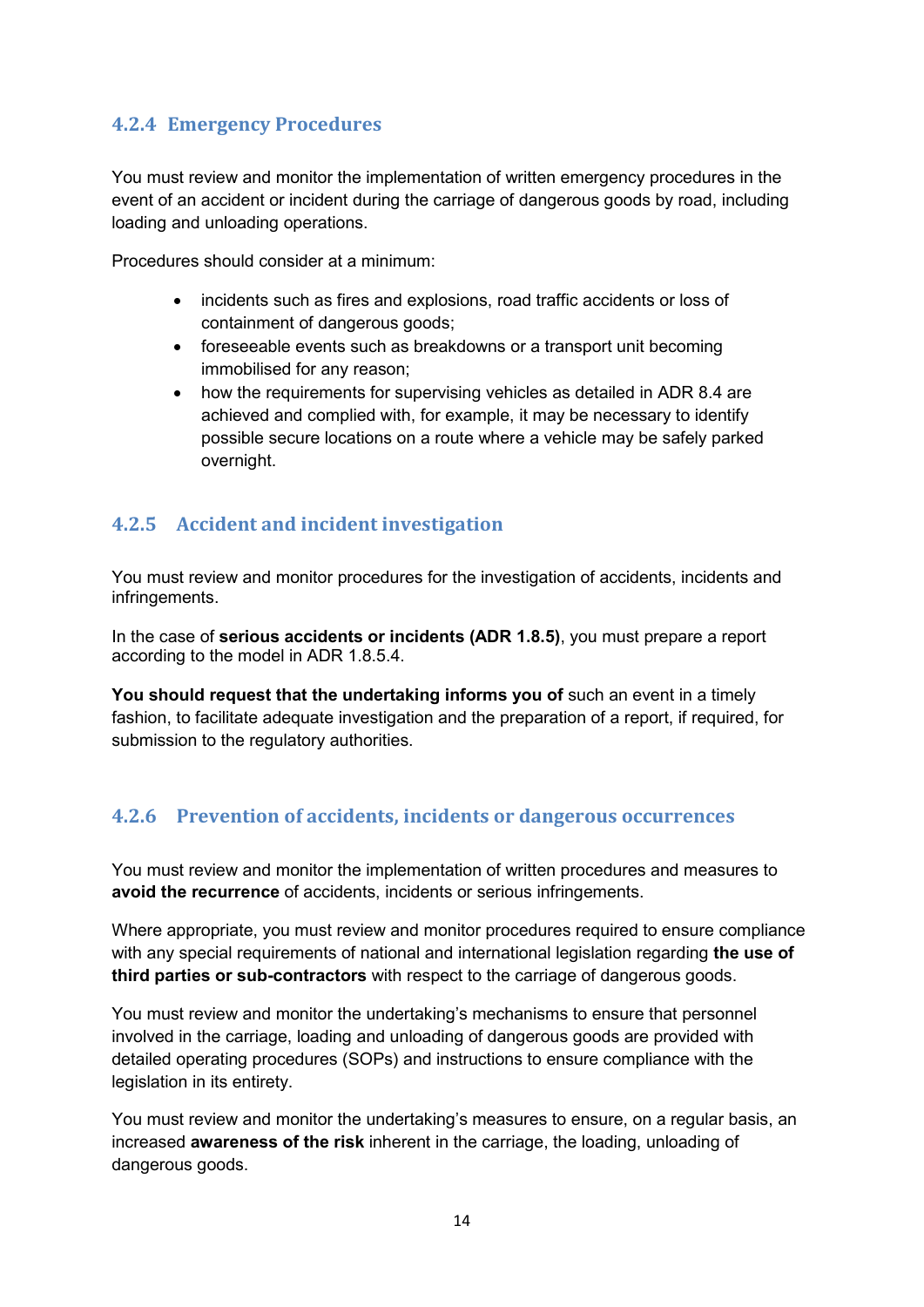## <span id="page-13-0"></span>**4.2.4 Emergency Procedures**

You must review and monitor the implementation of written emergency procedures in the event of an accident or incident during the carriage of dangerous goods by road, including loading and unloading operations.

Procedures should consider at a minimum:

- incidents such as fires and explosions, road traffic accidents or loss of containment of dangerous goods;
- foreseeable events such as breakdowns or a transport unit becoming immobilised for any reason;
- how the requirements for supervising vehicles as detailed in ADR 8.4 are achieved and complied with, for example, it may be necessary to identify possible secure locations on a route where a vehicle may be safely parked overnight.

## <span id="page-13-1"></span>**4.2.5 Accident and incident investigation**

You must review and monitor procedures for the investigation of accidents, incidents and infringements.

In the case of **serious accidents or incidents (ADR 1.8.5)**, you must prepare a report according to the model in ADR 1.8.5.4.

**You should request that the undertaking informs you of** such an event in a timely fashion, to facilitate adequate investigation and the preparation of a report, if required, for submission to the regulatory authorities.

## <span id="page-13-2"></span>**4.2.6 Prevention of accidents, incidents or dangerous occurrences**

You must review and monitor the implementation of written procedures and measures to **avoid the recurrence** of accidents, incidents or serious infringements.

Where appropriate, you must review and monitor procedures required to ensure compliance with any special requirements of national and international legislation regarding **the use of third parties or sub-contractors** with respect to the carriage of dangerous goods.

You must review and monitor the undertaking's mechanisms to ensure that personnel involved in the carriage, loading and unloading of dangerous goods are provided with detailed operating procedures (SOPs) and instructions to ensure compliance with the legislation in its entirety.

You must review and monitor the undertaking's measures to ensure, on a regular basis, an increased **awareness of the risk** inherent in the carriage, the loading, unloading of dangerous goods.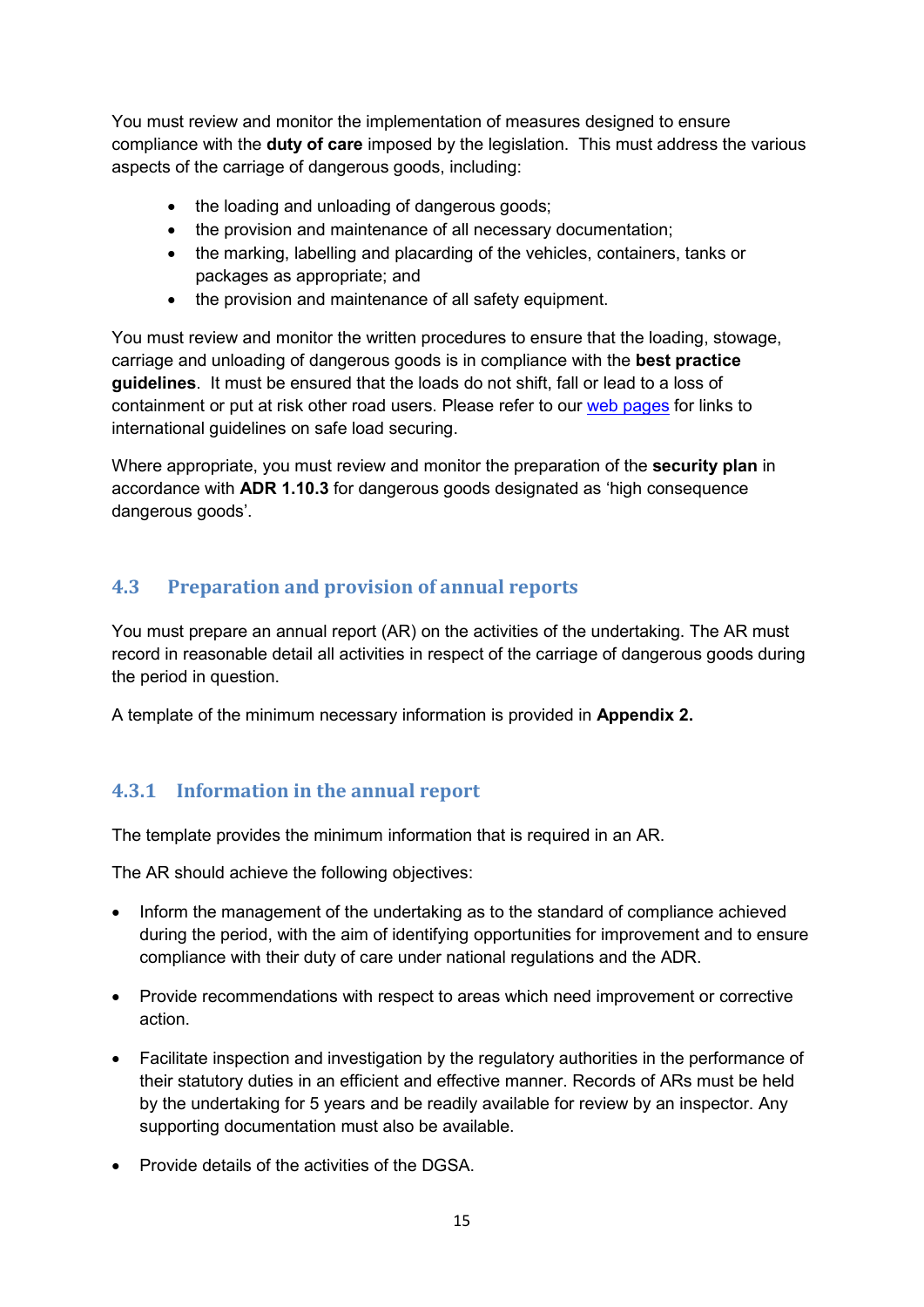You must review and monitor the implementation of measures designed to ensure compliance with the **duty of care** imposed by the legislation. This must address the various aspects of the carriage of dangerous goods, including:

- the loading and unloading of dangerous goods;
- the provision and maintenance of all necessary documentation;
- the marking, labelling and placarding of the vehicles, containers, tanks or packages as appropriate; and
- the provision and maintenance of all safety equipment.

You must review and monitor the written procedures to ensure that the loading, stowage, carriage and unloading of dangerous goods is in compliance with the **best practice guidelines**. It must be ensured that the loads do not shift, fall or lead to a loss of containment or put at risk other road users. Please refer to our [web pages](http://www.hsa.ie/eng/Your_Industry/ADR_-_Carriage_of_Dangerous_Goods_by_Road/Information_Guidance/ADR_Security_Guidelines/) for links to international guidelines on safe load securing.

Where appropriate, you must review and monitor the preparation of the **security plan** in accordance with **ADR 1.10.3** for dangerous goods designated as 'high consequence dangerous goods'.

## <span id="page-14-0"></span>**4.3 Preparation and provision of annual reports**

You must prepare an annual report (AR) on the activities of the undertaking. The AR must record in reasonable detail all activities in respect of the carriage of dangerous goods during the period in question.

A template of the minimum necessary information is provided in **Appendix 2.**

## <span id="page-14-1"></span>**4.3.1 Information in the annual report**

The template provides the minimum information that is required in an AR.

The AR should achieve the following objectives:

- Inform the management of the undertaking as to the standard of compliance achieved during the period, with the aim of identifying opportunities for improvement and to ensure compliance with their duty of care under national regulations and the ADR.
- Provide recommendations with respect to areas which need improvement or corrective action.
- Facilitate inspection and investigation by the regulatory authorities in the performance of their statutory duties in an efficient and effective manner. Records of ARs must be held by the undertaking for 5 years and be readily available for review by an inspector. Any supporting documentation must also be available.
- Provide details of the activities of the DGSA.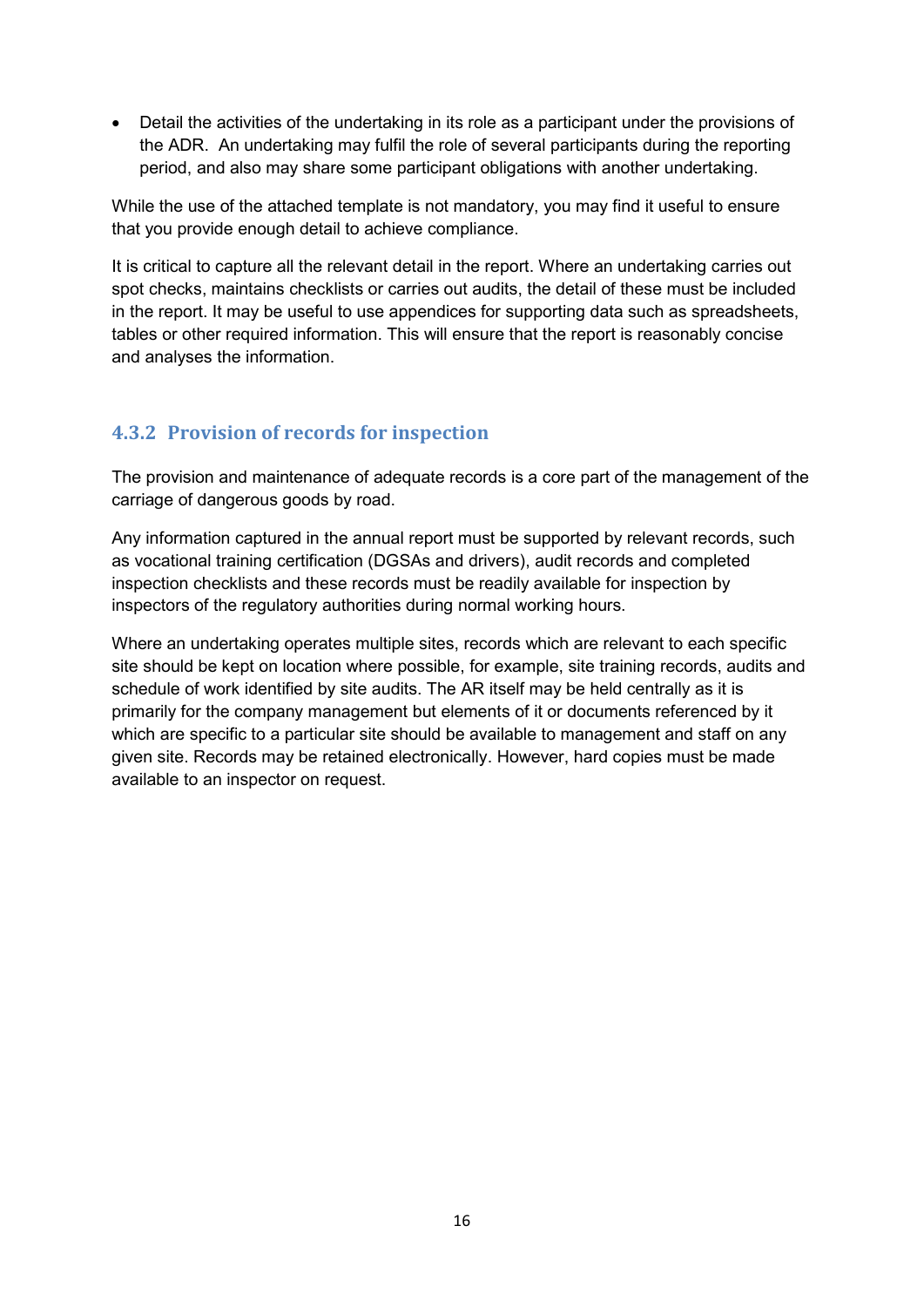• Detail the activities of the undertaking in its role as a participant under the provisions of the ADR. An undertaking may fulfil the role of several participants during the reporting period, and also may share some participant obligations with another undertaking.

While the use of the attached template is not mandatory, you may find it useful to ensure that you provide enough detail to achieve compliance.

It is critical to capture all the relevant detail in the report. Where an undertaking carries out spot checks, maintains checklists or carries out audits, the detail of these must be included in the report. It may be useful to use appendices for supporting data such as spreadsheets, tables or other required information. This will ensure that the report is reasonably concise and analyses the information.

## <span id="page-15-0"></span>**4.3.2 Provision of records for inspection**

The provision and maintenance of adequate records is a core part of the management of the carriage of dangerous goods by road.

Any information captured in the annual report must be supported by relevant records, such as vocational training certification (DGSAs and drivers), audit records and completed inspection checklists and these records must be readily available for inspection by inspectors of the regulatory authorities during normal working hours.

Where an undertaking operates multiple sites, records which are relevant to each specific site should be kept on location where possible, for example, site training records, audits and schedule of work identified by site audits. The AR itself may be held centrally as it is primarily for the company management but elements of it or documents referenced by it which are specific to a particular site should be available to management and staff on any given site. Records may be retained electronically. However, hard copies must be made available to an inspector on request.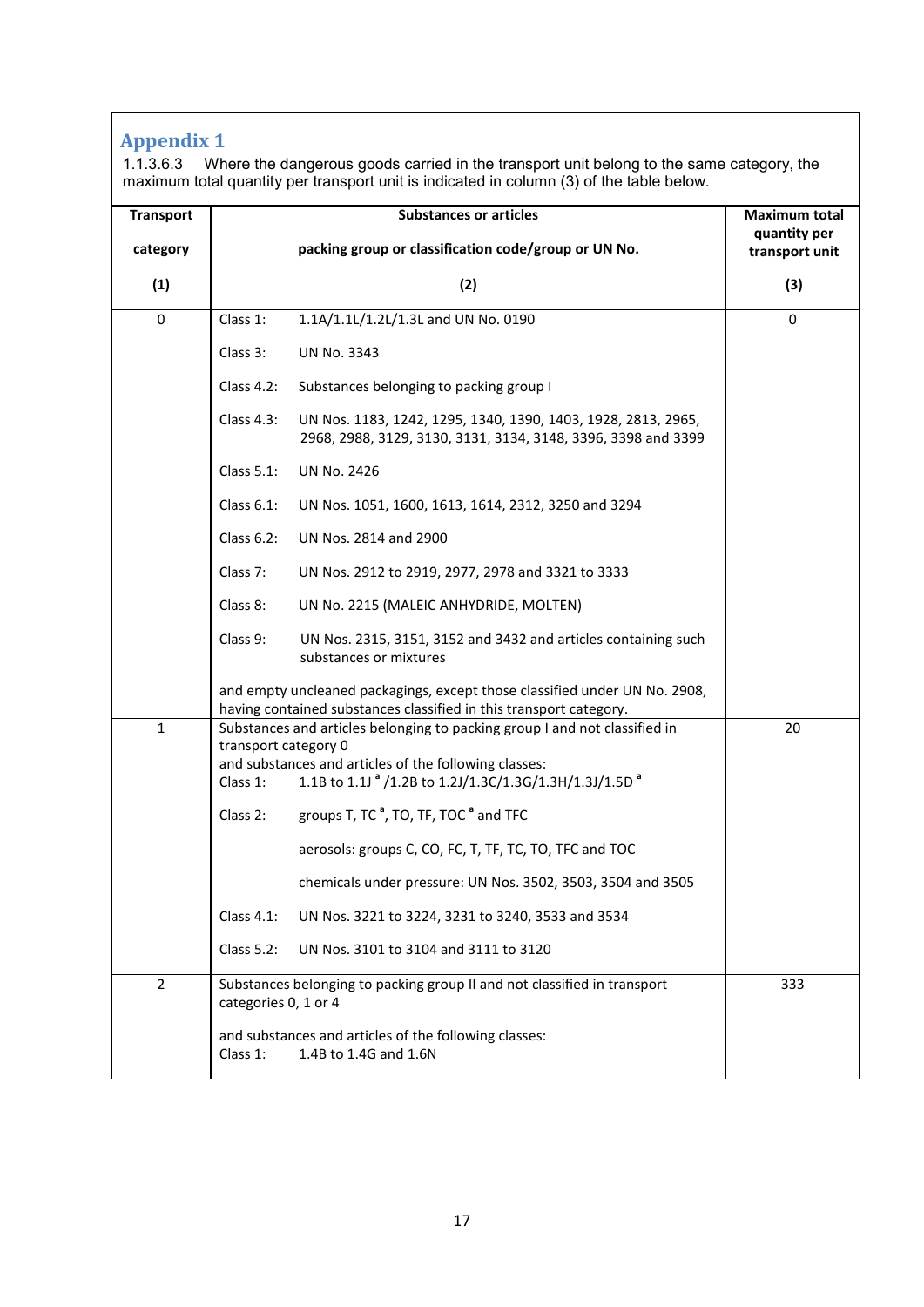# <span id="page-16-0"></span>**Appendix 1**

1.1.3.6.3 Where the dangerous goods carried in the transport unit belong to the same category, the maximum total quantity per transport unit is indicated in column (3) of the table below.

| <b>Transport</b> | <b>Substances or articles</b>                                                                                                                      | <b>Maximum total</b><br>quantity per |  |
|------------------|----------------------------------------------------------------------------------------------------------------------------------------------------|--------------------------------------|--|
| category         | packing group or classification code/group or UN No.                                                                                               | transport unit                       |  |
| (1)              | (2)                                                                                                                                                | (3)                                  |  |
| $\mathbf 0$      | 1.1A/1.1L/1.2L/1.3L and UN No. 0190<br>Class 1:                                                                                                    | $\mathbf 0$                          |  |
|                  | Class 3:<br><b>UN No. 3343</b>                                                                                                                     |                                      |  |
|                  | Class $4.2$ :<br>Substances belonging to packing group I                                                                                           |                                      |  |
|                  | Class 4.3:<br>UN Nos. 1183, 1242, 1295, 1340, 1390, 1403, 1928, 2813, 2965,<br>2968, 2988, 3129, 3130, 3131, 3134, 3148, 3396, 3398 and 3399       |                                      |  |
|                  | <b>Class 5.1:</b><br><b>UN No. 2426</b>                                                                                                            |                                      |  |
|                  | Class 6.1:<br>UN Nos. 1051, 1600, 1613, 1614, 2312, 3250 and 3294                                                                                  |                                      |  |
|                  | Class 6.2:<br>UN Nos. 2814 and 2900                                                                                                                |                                      |  |
|                  | Class 7:<br>UN Nos. 2912 to 2919, 2977, 2978 and 3321 to 3333                                                                                      |                                      |  |
|                  | Class 8:<br>UN No. 2215 (MALEIC ANHYDRIDE, MOLTEN)                                                                                                 |                                      |  |
|                  | Class 9:<br>UN Nos. 2315, 3151, 3152 and 3432 and articles containing such<br>substances or mixtures                                               |                                      |  |
|                  | and empty uncleaned packagings, except those classified under UN No. 2908,<br>having contained substances classified in this transport category.   |                                      |  |
| $\mathbf{1}$     | Substances and articles belonging to packing group I and not classified in<br>transport category 0                                                 | 20                                   |  |
|                  | and substances and articles of the following classes:<br>1.1B to 1.1J <sup>a</sup> /1.2B to 1.2J/1.3C/1.3G/1.3H/1.3J/1.5D <sup>a</sup><br>Class 1: |                                      |  |
|                  | groups T, TC $^a$ , TO, TF, TOC $^a$ and TFC<br>Class 2:                                                                                           |                                      |  |
|                  | aerosols: groups C, CO, FC, T, TF, TC, TO, TFC and TOC                                                                                             |                                      |  |
|                  | chemicals under pressure: UN Nos. 3502, 3503, 3504 and 3505                                                                                        |                                      |  |
|                  | Class 4.1:<br>UN Nos. 3221 to 3224, 3231 to 3240, 3533 and 3534                                                                                    |                                      |  |
|                  | <b>Class 5.2:</b><br>UN Nos. 3101 to 3104 and 3111 to 3120                                                                                         |                                      |  |
| $\overline{2}$   | Substances belonging to packing group II and not classified in transport<br>categories 0, 1 or 4                                                   | 333                                  |  |
|                  | and substances and articles of the following classes:<br>1.4B to 1.4G and 1.6N<br>Class 1:                                                         |                                      |  |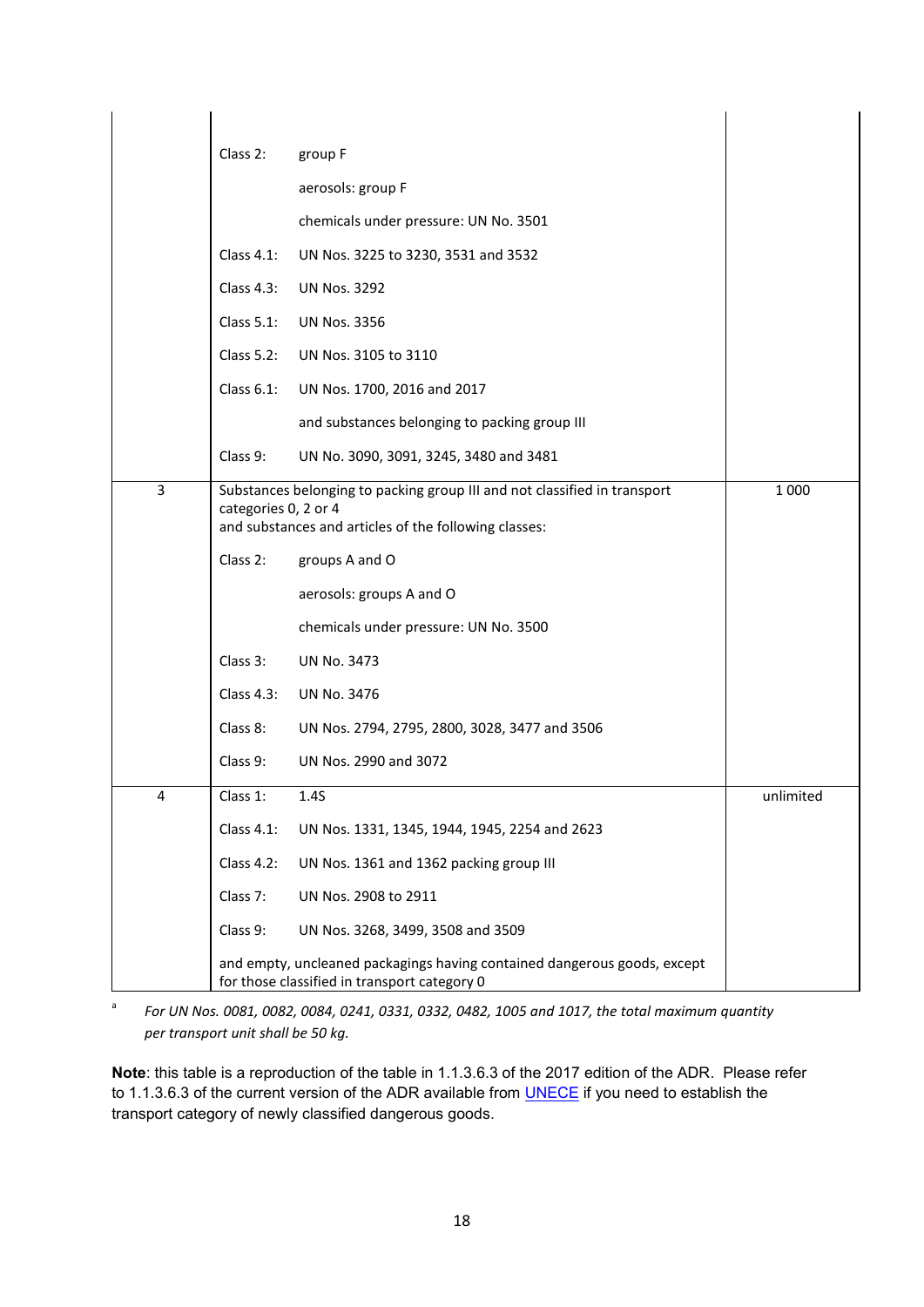|                | Class 2:                              | group F                                                                                                                  |           |
|----------------|---------------------------------------|--------------------------------------------------------------------------------------------------------------------------|-----------|
|                |                                       | aerosols: group F                                                                                                        |           |
|                | chemicals under pressure: UN No. 3501 |                                                                                                                          |           |
|                | Class $4.1$ :                         | UN Nos. 3225 to 3230, 3531 and 3532                                                                                      |           |
|                | Class $4.3$ :                         | <b>UN Nos. 3292</b>                                                                                                      |           |
|                | Class $5.1$ :                         | <b>UN Nos. 3356</b>                                                                                                      |           |
|                | Class $5.2$ :                         | UN Nos. 3105 to 3110                                                                                                     |           |
|                | Class $6.1$ :                         | UN Nos. 1700, 2016 and 2017                                                                                              |           |
|                |                                       | and substances belonging to packing group III                                                                            |           |
|                | Class 9:                              | UN No. 3090, 3091, 3245, 3480 and 3481                                                                                   |           |
| $\overline{3}$ |                                       | Substances belonging to packing group III and not classified in transport                                                | 1 0 0 0   |
|                | categories 0, 2 or 4                  | and substances and articles of the following classes:                                                                    |           |
|                | Class 2:                              | groups A and O                                                                                                           |           |
|                |                                       | aerosols: groups A and O                                                                                                 |           |
|                |                                       | chemicals under pressure: UN No. 3500                                                                                    |           |
|                | Class 3:                              | <b>UN No. 3473</b>                                                                                                       |           |
|                | Class $4.3$ :                         | <b>UN No. 3476</b>                                                                                                       |           |
|                | Class 8:                              | UN Nos. 2794, 2795, 2800, 3028, 3477 and 3506                                                                            |           |
|                | Class 9:                              | UN Nos. 2990 and 3072                                                                                                    |           |
| 4              | Class 1:                              | 1.4S                                                                                                                     | unlimited |
|                | Class 4.1:                            | UN Nos. 1331, 1345, 1944, 1945, 2254 and 2623                                                                            |           |
|                | <b>Class 4.2:</b>                     | UN Nos. 1361 and 1362 packing group III                                                                                  |           |
|                | Class 7:                              | UN Nos. 2908 to 2911                                                                                                     |           |
|                | Class 9:                              | UN Nos. 3268, 3499, 3508 and 3509                                                                                        |           |
|                |                                       | and empty, uncleaned packagings having contained dangerous goods, except<br>for those classified in transport category 0 |           |

<sup>a</sup> *For UN Nos. 0081, 0082, 0084, 0241, 0331, 0332, 0482, 1005 and 1017, the total maximum quantity per transport unit shall be 50 kg.*

**Note**: this table is a reproduction of the table in 1.1.3.6.3 of the 2017 edition of the ADR. Please refer to 1.1.3.6.3 of the current version of the ADR available from **UNECE** if you need to establish the transport category of newly classified dangerous goods.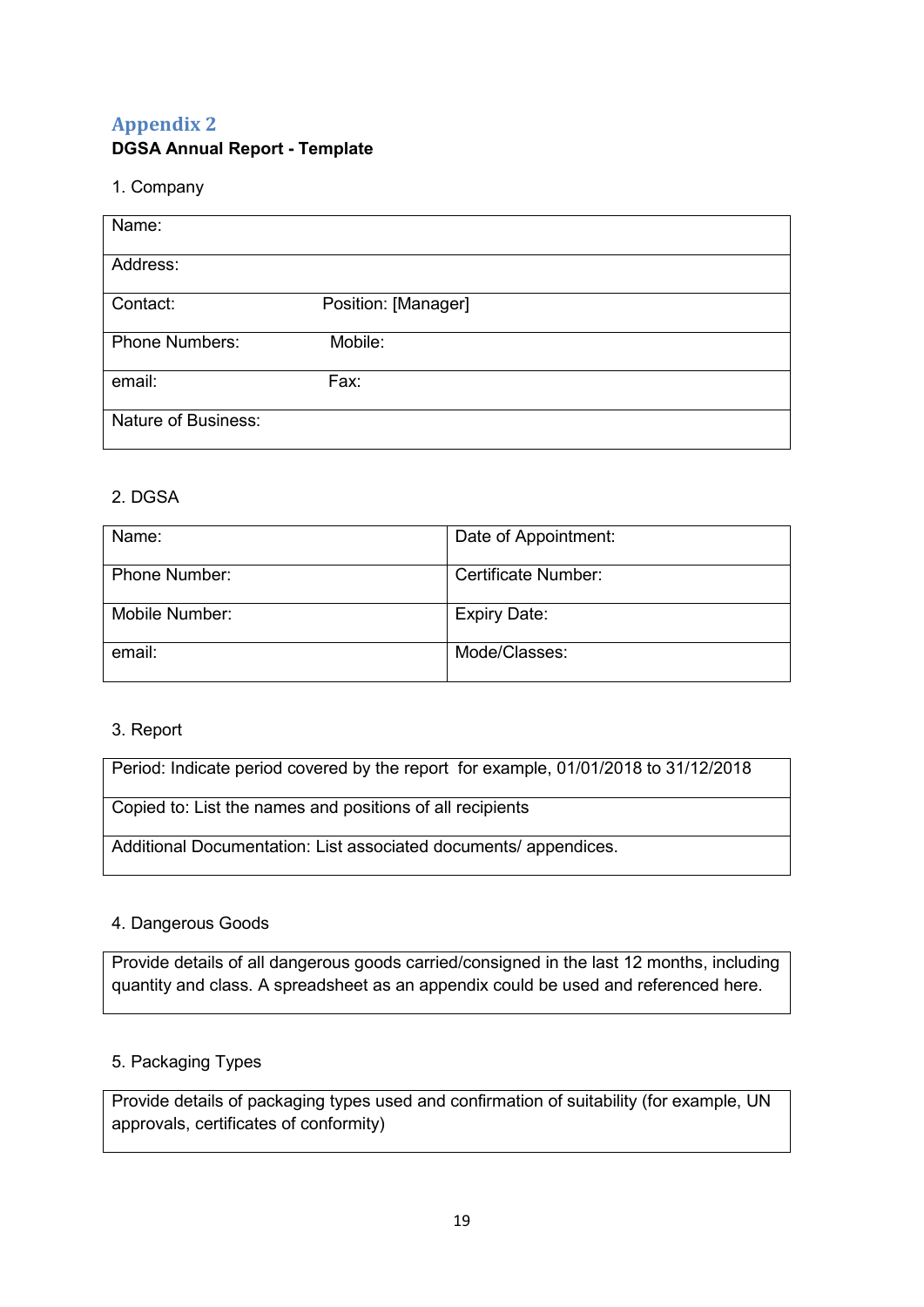## <span id="page-18-0"></span>**Appendix 2 DGSA Annual Report - Template**

#### 1. Company

| Name:                      |                     |  |
|----------------------------|---------------------|--|
|                            |                     |  |
|                            |                     |  |
| Address:                   |                     |  |
|                            |                     |  |
|                            |                     |  |
| Contact:                   | Position: [Manager] |  |
|                            |                     |  |
|                            |                     |  |
| <b>Phone Numbers:</b>      | Mobile:             |  |
|                            |                     |  |
|                            |                     |  |
| email:                     | Fax:                |  |
|                            |                     |  |
| <b>Nature of Business:</b> |                     |  |
|                            |                     |  |
|                            |                     |  |

#### 2. DGSA

| Name:                | Date of Appointment: |
|----------------------|----------------------|
| <b>Phone Number:</b> | Certificate Number:  |
| Mobile Number:       | <b>Expiry Date:</b>  |
| email:               | Mode/Classes:        |

#### 3. Report

| Period: Indicate period covered by the report for example, 01/01/2018 to 31/12/2018 |  |
|-------------------------------------------------------------------------------------|--|
| Copied to: List the names and positions of all recipients                           |  |

Additional Documentation: List associated documents/ appendices.

#### 4. Dangerous Goods

Provide details of all dangerous goods carried/consigned in the last 12 months, including quantity and class. A spreadsheet as an appendix could be used and referenced here.

#### 5. Packaging Types

Provide details of packaging types used and confirmation of suitability (for example, UN approvals, certificates of conformity)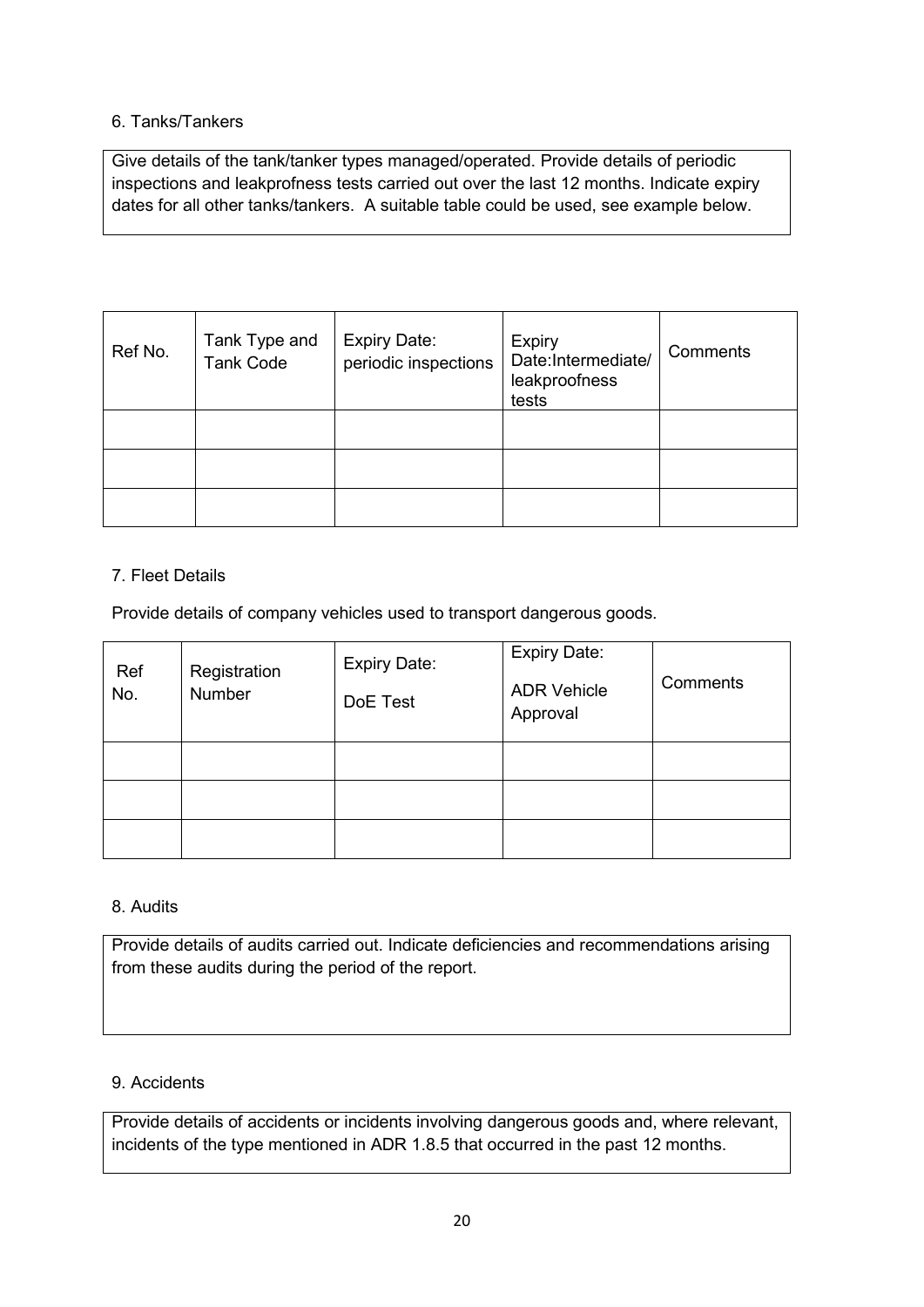#### 6. Tanks/Tankers

Give details of the tank/tanker types managed/operated. Provide details of periodic inspections and leakprofness tests carried out over the last 12 months. Indicate expiry dates for all other tanks/tankers. A suitable table could be used, see example below.

| Ref No. | Tank Type and<br><b>Tank Code</b> | <b>Expiry Date:</b><br>periodic inspections | <b>Expiry</b><br>Date:Intermediate/<br>leakproofness<br>tests | Comments |
|---------|-----------------------------------|---------------------------------------------|---------------------------------------------------------------|----------|
|         |                                   |                                             |                                                               |          |
|         |                                   |                                             |                                                               |          |
|         |                                   |                                             |                                                               |          |

#### 7. Fleet Details

Provide details of company vehicles used to transport dangerous goods.

| Ref<br>No. | Registration<br>Number | <b>Expiry Date:</b><br>DoE Test | Expiry Date:<br><b>ADR Vehicle</b><br>Approval | Comments |
|------------|------------------------|---------------------------------|------------------------------------------------|----------|
|            |                        |                                 |                                                |          |
|            |                        |                                 |                                                |          |
|            |                        |                                 |                                                |          |

#### 8. Audits

Provide details of audits carried out. Indicate deficiencies and recommendations arising from these audits during the period of the report.

#### 9. Accidents

Provide details of accidents or incidents involving dangerous goods and, where relevant, incidents of the type mentioned in ADR 1.8.5 that occurred in the past 12 months.